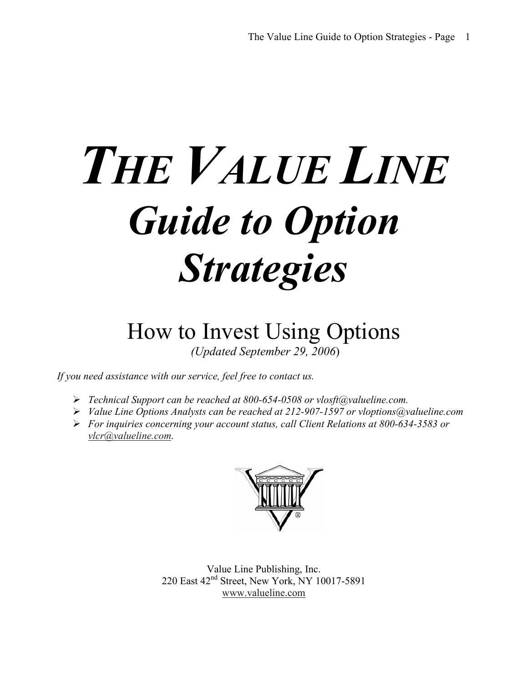# *THE VALUE LINE Guide to Option Strategies*

# How to Invest Using Options  *(Updated September 29, 2006*)

*If you need assistance with our service, feel free to contact us.* 

- *Technical Support can be reached at 800-654-0508 or vlosft@valueline.com.*
- *Value Line Options Analysts can be reached at 212-907-1597 or vloptions@valueline.com*
- *For inquiries concerning your account status, call Client Relations at 800-634-3583 or vlcr@valueline.com.*



Value Line Publishing, Inc. 220 East 42nd Street, New York, NY 10017-5891 www.valueline.com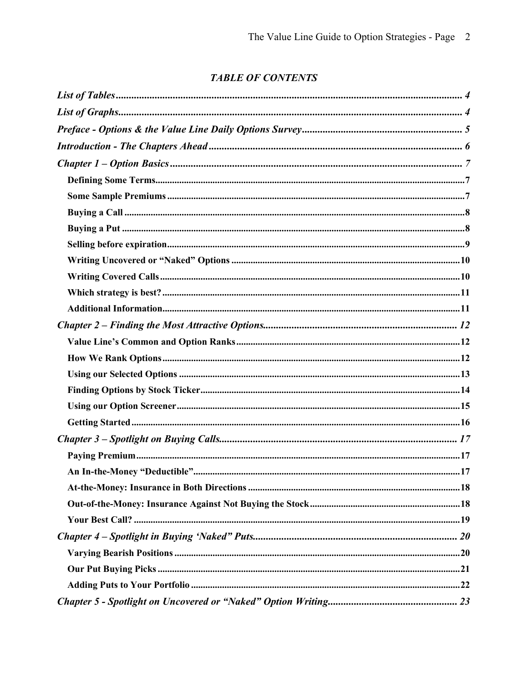#### **TABLE OF CONTENTS**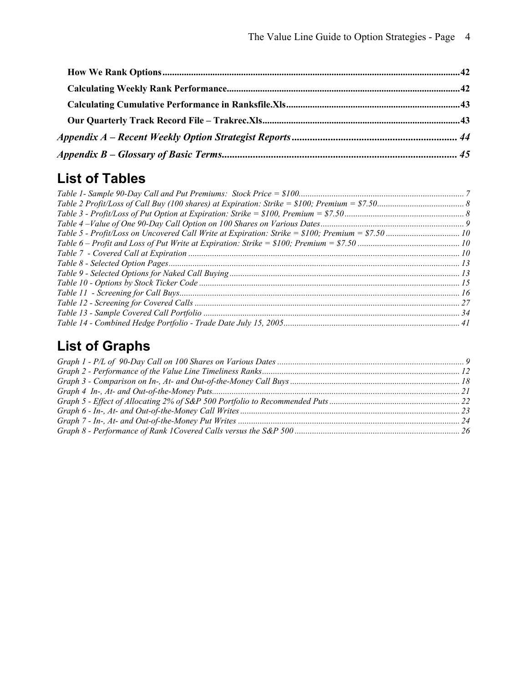# **List of Tables**

# **List of Graphs**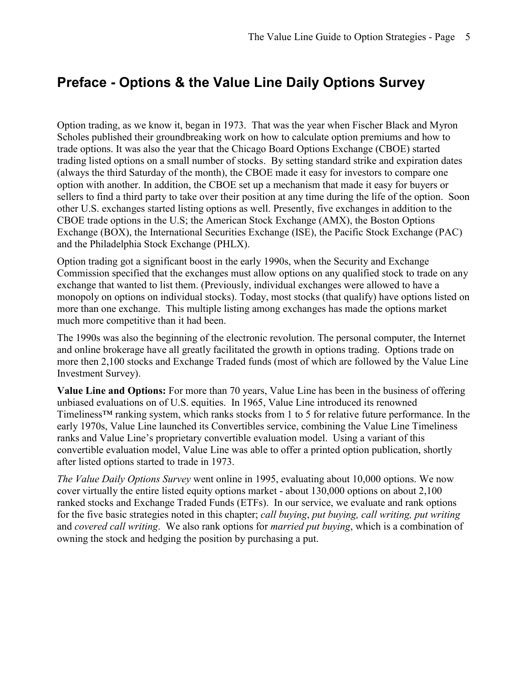## **Preface - Options & the Value Line Daily Options Survey**

Option trading, as we know it, began in 1973. That was the year when Fischer Black and Myron Scholes published their groundbreaking work on how to calculate option premiums and how to trade options. It was also the year that the Chicago Board Options Exchange (CBOE) started trading listed options on a small number of stocks. By setting standard strike and expiration dates (always the third Saturday of the month), the CBOE made it easy for investors to compare one option with another. In addition, the CBOE set up a mechanism that made it easy for buyers or sellers to find a third party to take over their position at any time during the life of the option. Soon other U.S. exchanges started listing options as well. Presently, five exchanges in addition to the CBOE trade options in the U.S; the American Stock Exchange (AMX), the Boston Options Exchange (BOX), the International Securities Exchange (ISE), the Pacific Stock Exchange (PAC) and the Philadelphia Stock Exchange (PHLX).

Option trading got a significant boost in the early 1990s, when the Security and Exchange Commission specified that the exchanges must allow options on any qualified stock to trade on any exchange that wanted to list them. (Previously, individual exchanges were allowed to have a monopoly on options on individual stocks). Today, most stocks (that qualify) have options listed on more than one exchange. This multiple listing among exchanges has made the options market much more competitive than it had been.

The 1990s was also the beginning of the electronic revolution. The personal computer, the Internet and online brokerage have all greatly facilitated the growth in options trading. Options trade on more then 2,100 stocks and Exchange Traded funds (most of which are followed by the Value Line Investment Survey).

**Value Line and Options:** For more than 70 years, Value Line has been in the business of offering unbiased evaluations on of U.S. equities. In 1965, Value Line introduced its renowned Timeliness™ ranking system, which ranks stocks from 1 to 5 for relative future performance. In the early 1970s, Value Line launched its Convertibles service, combining the Value Line Timeliness ranks and Value Line's proprietary convertible evaluation model. Using a variant of this convertible evaluation model, Value Line was able to offer a printed option publication, shortly after listed options started to trade in 1973.

*The Value Daily Options Survey* went online in 1995, evaluating about 10,000 options. We now cover virtually the entire listed equity options market - about 130,000 options on about 2,100 ranked stocks and Exchange Traded Funds (ETFs). In our service, we evaluate and rank options for the five basic strategies noted in this chapter; *call buying*, *put buying, call writing, put writing*  and *covered call writing*. We also rank options for *married put buying*, which is a combination of owning the stock and hedging the position by purchasing a put.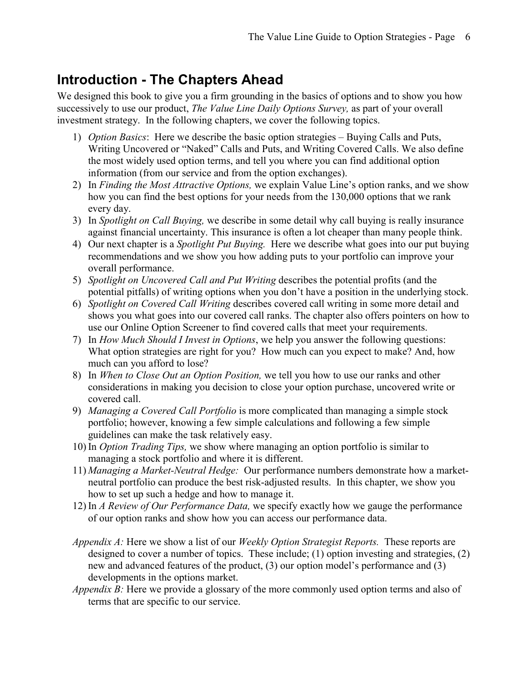## **Introduction - The Chapters Ahead**

We designed this book to give you a firm grounding in the basics of options and to show you how successively to use our product, *The Value Line Daily Options Survey,* as part of your overall investment strategy. In the following chapters, we cover the following topics.

- 1) *Option Basics*: Here we describe the basic option strategies Buying Calls and Puts, Writing Uncovered or "Naked" Calls and Puts, and Writing Covered Calls. We also define the most widely used option terms, and tell you where you can find additional option information (from our service and from the option exchanges).
- 2) In *Finding the Most Attractive Options,* we explain Value Line's option ranks, and we show how you can find the best options for your needs from the 130,000 options that we rank every day.
- 3) In *Spotlight on Call Buying,* we describe in some detail why call buying is really insurance against financial uncertainty. This insurance is often a lot cheaper than many people think.
- 4) Our next chapter is a *Spotlight Put Buying.* Here we describe what goes into our put buying recommendations and we show you how adding puts to your portfolio can improve your overall performance.
- 5) *Spotlight on Uncovered Call and Put Writing* describes the potential profits (and the potential pitfalls) of writing options when you don't have a position in the underlying stock.
- 6) *Spotlight on Covered Call Writing* describes covered call writing in some more detail and shows you what goes into our covered call ranks. The chapter also offers pointers on how to use our Online Option Screener to find covered calls that meet your requirements.
- 7) In *How Much Should I Invest in Options*, we help you answer the following questions: What option strategies are right for you? How much can you expect to make? And, how much can you afford to lose?
- 8) In *When to Close Out an Option Position,* we tell you how to use our ranks and other considerations in making you decision to close your option purchase, uncovered write or covered call.
- 9) *Managing a Covered Call Portfolio* is more complicated than managing a simple stock portfolio; however, knowing a few simple calculations and following a few simple guidelines can make the task relatively easy.
- 10) In *Option Trading Tips,* we show where managing an option portfolio is similar to managing a stock portfolio and where it is different.
- 11) *Managing a Market-Neutral Hedge:* Our performance numbers demonstrate how a marketneutral portfolio can produce the best risk-adjusted results. In this chapter, we show you how to set up such a hedge and how to manage it.
- 12) In *A Review of Our Performance Data,* we specify exactly how we gauge the performance of our option ranks and show how you can access our performance data.
- *Appendix A:* Here we show a list of our *Weekly Option Strategist Reports.* These reports are designed to cover a number of topics. These include; (1) option investing and strategies, (2) new and advanced features of the product, (3) our option model's performance and (3) developments in the options market.
- *Appendix B:* Here we provide a glossary of the more commonly used option terms and also of terms that are specific to our service.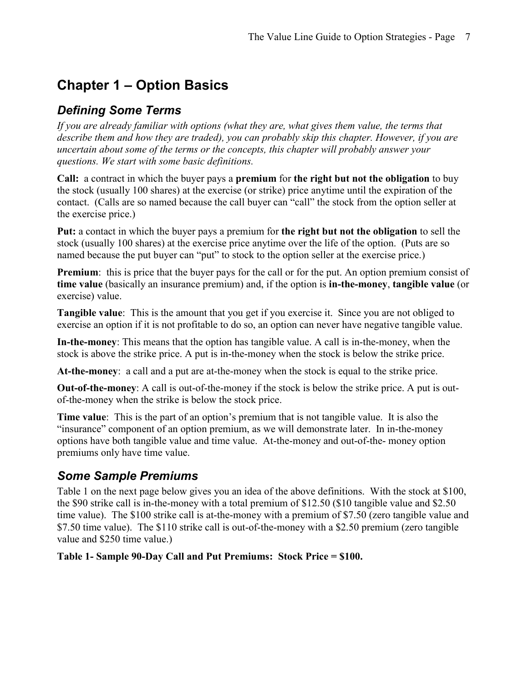# **Chapter 1 – Option Basics**

#### *Defining Some Terms*

*If you are already familiar with options (what they are, what gives them value, the terms that describe them and how they are traded), you can probably skip this chapter. However, if you are uncertain about some of the terms or the concepts, this chapter will probably answer your questions. We start with some basic definitions.* 

**Call:** a contract in which the buyer pays a **premium** for **the right but not the obligation** to buy the stock (usually 100 shares) at the exercise (or strike) price anytime until the expiration of the contact. (Calls are so named because the call buyer can "call" the stock from the option seller at the exercise price.)

**Put:** a contact in which the buyer pays a premium for **the right but not the obligation** to sell the stock (usually 100 shares) at the exercise price anytime over the life of the option. (Puts are so named because the put buyer can "put" to stock to the option seller at the exercise price.)

**Premium**: this is price that the buyer pays for the call or for the put. An option premium consist of **time value** (basically an insurance premium) and, if the option is **in-the-money**, **tangible value** (or exercise) value.

**Tangible value**: This is the amount that you get if you exercise it. Since you are not obliged to exercise an option if it is not profitable to do so, an option can never have negative tangible value.

**In-the-money**: This means that the option has tangible value. A call is in-the-money, when the stock is above the strike price. A put is in-the-money when the stock is below the strike price.

**At-the-money**: a call and a put are at-the-money when the stock is equal to the strike price.

**Out-of-the-money**: A call is out-of-the-money if the stock is below the strike price. A put is outof-the-money when the strike is below the stock price.

**Time value**: This is the part of an option's premium that is not tangible value. It is also the "insurance" component of an option premium, as we will demonstrate later. In in-the-money options have both tangible value and time value. At-the-money and out-of-the- money option premiums only have time value.

#### *Some Sample Premiums*

Table 1 on the next page below gives you an idea of the above definitions. With the stock at \$100, the \$90 strike call is in-the-money with a total premium of \$12.50 (\$10 tangible value and \$2.50 time value). The \$100 strike call is at-the-money with a premium of \$7.50 (zero tangible value and \$7.50 time value). The \$110 strike call is out-of-the-money with a \$2.50 premium (zero tangible value and \$250 time value.)

**Table 1- Sample 90-Day Call and Put Premiums: Stock Price = \$100.**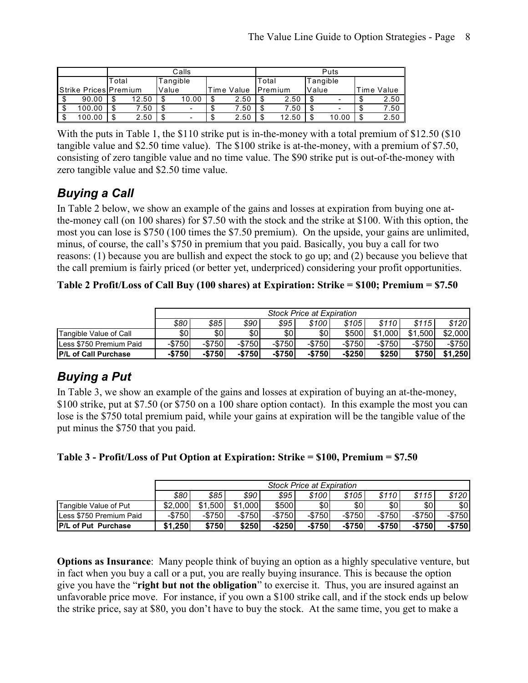|                       | Calls             |       |   |       |            |       |         | Puts     |       |       |            |      |  |
|-----------------------|-------------------|-------|---|-------|------------|-------|---------|----------|-------|-------|------------|------|--|
|                       | Tangible<br>Total |       |   |       |            | Total |         | Tangible |       |       |            |      |  |
| Strike Prices Premium |                   | Value |   |       | Time Value |       | Premium |          | Value |       | Time Value |      |  |
| 90.00                 | -S                | 12.50 | σ | 10.00 |            | 2.50  |         | 2.50     | - \$  |       |            | 2.50 |  |
| 100.00                | \$                | 7.50  |   | -     |            | 7.50  |         | 7.50     | - \$  |       |            | 7.50 |  |
| 100.00                | \$                | 2.50  |   | -     |            | 2.50  |         | 12.50    | \$    | 10.00 |            | 2.50 |  |

With the puts in Table 1, the \$110 strike put is in-the-money with a total premium of \$12.50 (\$10) tangible value and \$2.50 time value). The \$100 strike is at-the-money, with a premium of \$7.50, consisting of zero tangible value and no time value. The \$90 strike put is out-of-the-money with zero tangible value and \$2.50 time value.

#### *Buying a Call*

In Table 2 below, we show an example of the gains and losses at expiration from buying one atthe-money call (on 100 shares) for \$7.50 with the stock and the strike at \$100. With this option, the most you can lose is \$750 (100 times the \$7.50 premium). On the upside, your gains are unlimited, minus, of course, the call's \$750 in premium that you paid. Basically, you buy a call for two reasons: (1) because you are bullish and expect the stock to go up; and (2) because you believe that the call premium is fairly priced (or better yet, underpriced) considering your profit opportunities.

**Table 2 Profit/Loss of Call Buy (100 shares) at Expiration: Strike = \$100; Premium = \$7.50** 

|                              |           | <b>Stock Price at Expiration</b> |         |         |                      |           |                     |           |           |  |  |  |
|------------------------------|-----------|----------------------------------|---------|---------|----------------------|-----------|---------------------|-----------|-----------|--|--|--|
|                              | 880       | \$85                             | \$90    | \$95    | \$100                | \$105     | <i><b>\$110</b></i> | \$115     | \$120     |  |  |  |
| Tangible Value of Call       | \$٥Ι      | \$0                              | \$0     | \$0     | \$0                  | \$500     | \$1,000             | \$1.500   | \$2,000   |  |  |  |
| Less \$750 Premium Paid      | $-$ \$750 | $-$ \$750                        | $-$750$ | $-$750$ | $-$ \$750 $^{\circ}$ | $-$ \$750 | $-$ \$750           | $-$ \$750 | $-$ \$750 |  |  |  |
| <b>IP/L of Call Purchase</b> | $-$750$   | $-$750$                          | $-$750$ | $-$750$ | $-$ \$750 $-$        | $-$ \$250 | \$250               | \$750     | \$1,250   |  |  |  |

#### *Buying a Put*

In Table 3, we show an example of the gains and losses at expiration of buying an at-the-money, \$100 strike, put at \$7.50 (or \$750 on a 100 share option contact). In this example the most you can lose is the \$750 total premium paid, while your gains at expiration will be the tangible value of the put minus the \$750 that you paid.

|  |  |  |  |  |  |  | Table 3 - Profit/Loss of Put Option at Expiration: Strike = \$100, Premium = \$7.50 |
|--|--|--|--|--|--|--|-------------------------------------------------------------------------------------|
|--|--|--|--|--|--|--|-------------------------------------------------------------------------------------|

|                             | <b>Stock Price at Expiration</b> |             |         |           |         |         |                  |           |         |  |  |
|-----------------------------|----------------------------------|-------------|---------|-----------|---------|---------|------------------|-----------|---------|--|--|
|                             | \$80                             | \$85        | \$90    | \$95      | \$100   | \$105   | \$110            | \$115     | \$120   |  |  |
| Tangible Value of Put       | \$2.000                          | .500<br>\$1 | \$1,000 | \$500     | \$0     | \$0     | \$0 <sub>1</sub> | \$0       | \$0     |  |  |
| Less \$750 Premium Paid     | $-$750$                          | $-$ \$750   | $-$750$ | $-$750$   | $-$750$ | $-$750$ | -\$7501          | $-$ \$750 | $-$750$ |  |  |
| <b>IP/L of Put Purchase</b> | \$1,250                          | \$750       | \$250   | $-$ \$250 | $-$750$ | $-$750$ | $-$750$          | $-$750'$  | $-$750$ |  |  |

**Options as Insurance**: Many people think of buying an option as a highly speculative venture, but in fact when you buy a call or a put, you are really buying insurance. This is because the option give you have the "**right but not the obligation**" to exercise it. Thus, you are insured against an unfavorable price move. For instance, if you own a \$100 strike call, and if the stock ends up below the strike price, say at \$80, you don't have to buy the stock. At the same time, you get to make a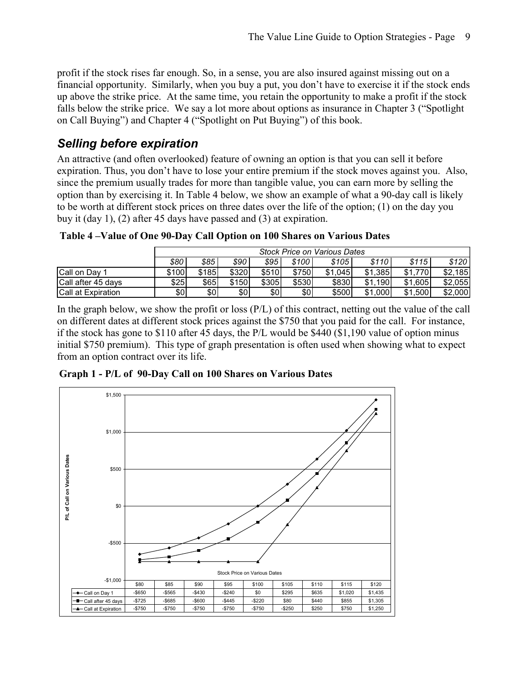profit if the stock rises far enough. So, in a sense, you are also insured against missing out on a financial opportunity. Similarly, when you buy a put, you don't have to exercise it if the stock ends up above the strike price. At the same time, you retain the opportunity to make a profit if the stock falls below the strike price. We say a lot more about options as insurance in Chapter 3 ("Spotlight on Call Buying") and Chapter 4 ("Spotlight on Put Buying") of this book.

#### *Selling before expiration*

An attractive (and often overlooked) feature of owning an option is that you can sell it before expiration. Thus, you don't have to lose your entire premium if the stock moves against you. Also, since the premium usually trades for more than tangible value, you can earn more by selling the option than by exercising it. In Table 4 below, we show an example of what a 90-day call is likely to be worth at different stock prices on three dates over the life of the option; (1) on the day you buy it (day 1), (2) after 45 days have passed and (3) at expiration.

 **Table 4 –Value of One 90-Day Call Option on 100 Shares on Various Dates** 

|                           | <b>Stock Price on Various Dates</b> |       |       |       |       |         |         |         |              |  |  |  |
|---------------------------|-------------------------------------|-------|-------|-------|-------|---------|---------|---------|--------------|--|--|--|
|                           | \$80                                | \$85  | \$90  | \$95  | \$100 | \$105   | \$110   | \$115   | \$120        |  |  |  |
| <b>Call on Dav 1</b>      | \$100                               | \$185 | \$320 | \$510 | \$750 | \$1,045 | \$1.385 | \$1.770 | .185<br>\$2. |  |  |  |
| Call after 45 days        | \$25                                | \$65  | \$150 | \$305 | \$530 | \$830   | \$1,190 | \$1.605 | \$2.055      |  |  |  |
| <b>Call at Expiration</b> | \$0                                 | \$0   | \$0   | \$0   | \$0   | \$500   | \$1,000 | \$1.500 | \$2,000      |  |  |  |

In the graph below, we show the profit or loss (P/L) of this contract, netting out the value of the call on different dates at different stock prices against the \$750 that you paid for the call. For instance, if the stock has gone to \$110 after 45 days, the P/L would be \$440 (\$1,190 value of option minus initial \$750 premium). This type of graph presentation is often used when showing what to expect from an option contract over its life.

**Graph 1 - P/L of 90-Day Call on 100 Shares on Various Dates** 

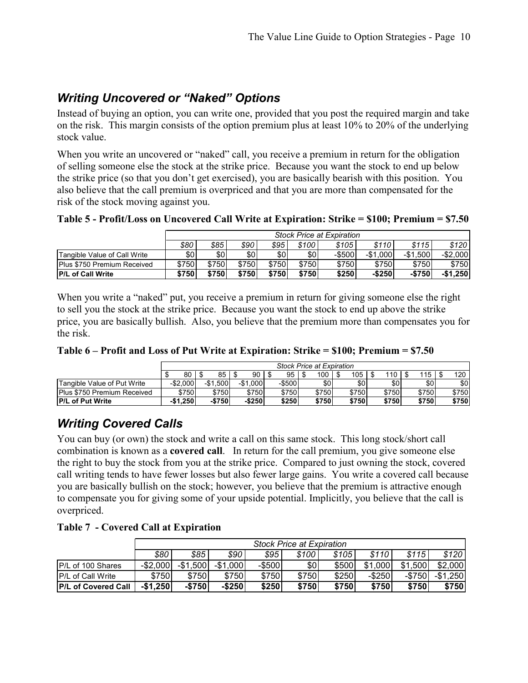#### *Writing Uncovered or "Naked" Options*

Instead of buying an option, you can write one, provided that you post the required margin and take on the risk. This margin consists of the option premium plus at least 10% to 20% of the underlying stock value.

When you write an uncovered or "naked" call, you receive a premium in return for the obligation of selling someone else the stock at the strike price. Because you want the stock to end up below the strike price (so that you don't get exercised), you are basically bearish with this position. You also believe that the call premium is overpriced and that you are more than compensated for the risk of the stock moving against you.

**Table 5 - Profit/Loss on Uncovered Call Write at Expiration: Strike = \$100; Premium = \$7.50** 

|                              |       | <b>Stock Price at Expiration</b> |       |       |       |        |           |           |           |  |  |  |
|------------------------------|-------|----------------------------------|-------|-------|-------|--------|-----------|-----------|-----------|--|--|--|
|                              | \$80  | \$85                             | \$90  | \$95  | \$100 | \$105  | \$110     | \$115     | \$120     |  |  |  |
| Tangible Value of Call Write | \$01  | \$0                              | \$01  | \$0   | \$0   | -\$500 | $-$1.000$ | $-$1.500$ | $-$2.000$ |  |  |  |
| Plus \$750 Premium Received  | \$750 | \$750                            | \$750 | \$750 | \$750 | \$750  | \$750     | \$750     | \$750     |  |  |  |
| <b>IP/L of Call Write</b>    | \$750 | \$750                            | \$750 | \$750 | \$750 | \$250  | $-$ \$250 | $-$750$   | $-$1.250$ |  |  |  |

When you write a "naked" put, you receive a premium in return for giving someone else the right to sell you the stock at the strike price. Because you want the stock to end up above the strike price, you are basically bullish. Also, you believe that the premium more than compensates you for the risk.

|                                    |             | <b>Stock Price at Expiration</b>                                                     |           |        |       |       |       |       |       |  |  |
|------------------------------------|-------------|--------------------------------------------------------------------------------------|-----------|--------|-------|-------|-------|-------|-------|--|--|
|                                    | 80 I        | 85                                                                                   | 90        | 95     | 100   | 105   | 110   | 115   | 120   |  |  |
| <b>Tangible Value of Put Write</b> | $-$ \$2.000 | .500<br>-\$1                                                                         | $-$1.000$ | -\$500 | \$0   | \$01  | \$٥١  | \$0   | \$0   |  |  |
| <b>Plus \$750 Premium Received</b> | \$750       | \$750                                                                                | \$750l    | \$750  | \$750 | \$750 | \$750 | \$750 | \$750 |  |  |
| <b>IP/L of Put Write</b>           |             | \$250<br>-\$250<br>\$750<br>\$750<br>\$750<br>\$750<br>\$750<br>$-$1.250$<br>$-$750$ |           |        |       |       |       |       |       |  |  |

#### *Writing Covered Calls*

You can buy (or own) the stock and write a call on this same stock. This long stock/short call combination is known as a **covered call**. In return for the call premium, you give someone else the right to buy the stock from you at the strike price. Compared to just owning the stock, covered call writing tends to have fewer losses but also fewer large gains. You write a covered call because you are basically bullish on the stock; however, you believe that the premium is attractive enough to compensate you for giving some of your upside potential. Implicitly, you believe that the call is overpriced.

**Table 7 - Covered Call at Expiration** 

|                            |             | <b>Stock Price at Expiration</b>                                         |           |           |       |       |           |             |           |  |  |  |  |
|----------------------------|-------------|--------------------------------------------------------------------------|-----------|-----------|-------|-------|-----------|-------------|-----------|--|--|--|--|
|                            | \$80        | \$85                                                                     | \$90      | \$95      | \$100 | \$105 | \$110     | \$115       | \$120     |  |  |  |  |
| P/L of 100 Shares          | $-$ \$2,000 | ,500<br>-\$1                                                             | $-$1,000$ | $-$ \$500 | \$0   | \$500 | \$1,000   | \$1<br>.500 | \$2,000   |  |  |  |  |
| <b>IP/L of Call Write</b>  | \$750       | \$750                                                                    | \$750     | \$750     | \$750 | \$250 | $-$ \$250 | $-$750$     | $-$1,250$ |  |  |  |  |
| <b>P/L of Covered Call</b> | $-$1,250$   | \$750<br>$-$250$<br>\$250<br>\$750<br>\$750<br>\$750<br>$-$750$<br>\$750 |           |           |       |       |           |             |           |  |  |  |  |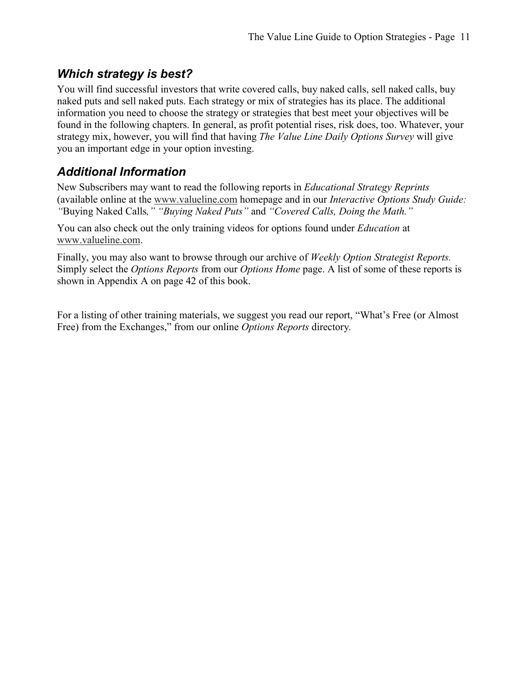#### *Which strategy is best?*

You will find successful investors that write covered calls, buy naked calls, sell naked calls, buy naked puts and sell naked puts. Each strategy or mix of strategies has its place. The additional information you need to choose the strategy or strategies that best meet your objectives will be found in the following chapters. In general, as profit potential rises, risk does, too. Whatever, your strategy mix, however, you will find that having *The Value Line Daily Options Survey* will give you an important edge in your option investing.

#### *Additional Information*

New Subscribers may want to read the following reports in *Educational Strategy Reprints*  (available online at the www.valueline.com homepage and in our *Interactive Options Study Guide: "*Buying Naked Calls*," "Buying Naked Puts"* and *"Covered Calls, Doing the Math."*

You can also check out the only training videos for options found under *Education* at www.valueline.com.

Finally, you may also want to browse through our archive of *Weekly Option Strategist Reports.*  Simply select the *Options Reports* from our *Options Home* page. A list of some of these reports is shown in Appendix A on page 42 of this book.

For a listing of other training materials, we suggest you read our report, "What's Free (or Almost Free) from the Exchanges," from our online *Options Reports* directory*.*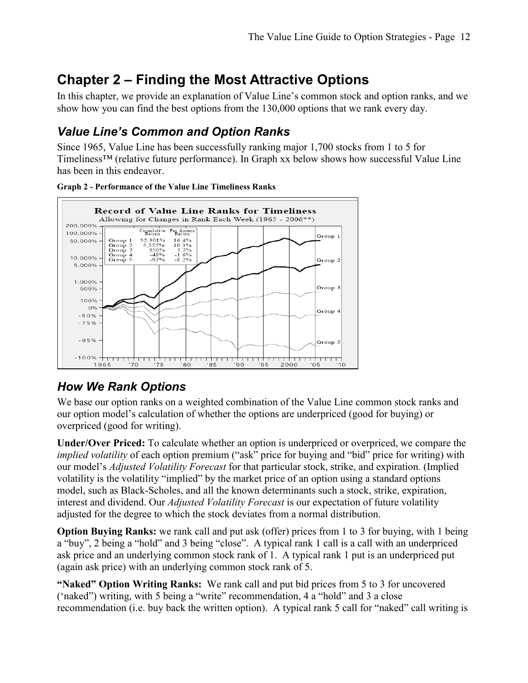# **Chapter 2 – Finding the Most Attractive Options**

In this chapter, we provide an explanation of Value Line's common stock and option ranks, and we show how you can find the best options from the 130,000 options that we rank every day.

## *Value Line's Common and Option Ranks*

Since 1965, Value Line has been successfully ranking major 1,700 stocks from 1 to 5 for Timeliness™ (relative future performance). In Graph xx below shows how successful Value Line has been in this endeavor.



#### **Graph 2 - Performance of the Value Line Timeliness Ranks**

#### *How We Rank Options*

We base our option ranks on a weighted combination of the Value Line common stock ranks and our option model's calculation of whether the options are underpriced (good for buying) or overpriced (good for writing).

**Under/Over Priced:** To calculate whether an option is underpriced or overpriced, we compare the *implied volatility* of each option premium ("ask" price for buying and "bid" price for writing) with our model's *Adjusted Volatility Forecast* for that particular stock, strike, and expiration. (Implied volatility is the volatility "implied" by the market price of an option using a standard options model, such as Black-Scholes, and all the known determinants such a stock, strike, expiration, interest and dividend. Our *Adjusted Volatility Forecast* is our expectation of future volatility adjusted for the degree to which the stock deviates from a normal distribution.

**Option Buying Ranks:** we rank call and put ask (offer) prices from 1 to 3 for buying, with 1 being a "buy", 2 being a "hold" and 3 being "close". A typical rank 1 call is a call with an underpriced ask price and an underlying common stock rank of 1. A typical rank 1 put is an underpriced put (again ask price) with an underlying common stock rank of 5.

**"Naked" Option Writing Ranks:** We rank call and put bid prices from 5 to 3 for uncovered ('naked") writing, with 5 being a "write" recommendation, 4 a "hold" and 3 a close recommendation (i.e. buy back the written option). A typical rank 5 call for "naked" call writing is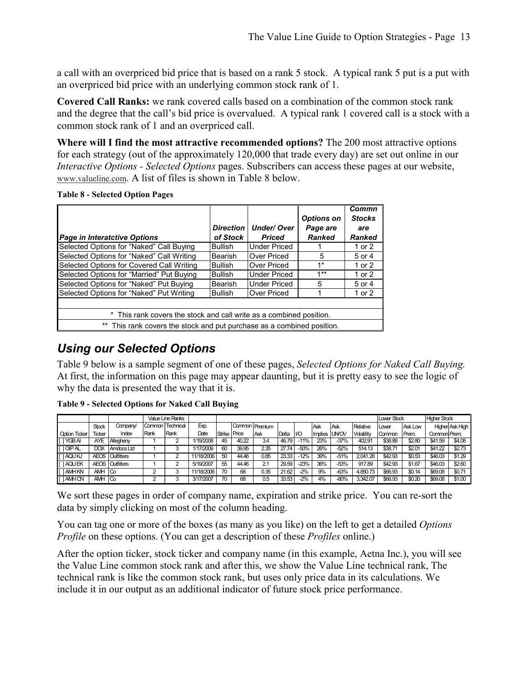a call with an overpriced bid price that is based on a rank 5 stock. A typical rank 5 put is a put with an overpriced bid price with an underlying common stock rank of 1.

**Covered Call Ranks:** we rank covered calls based on a combination of the common stock rank and the degree that the call's bid price is overvalued. A typical rank 1 covered call is a stock with a common stock rank of 1 and an overpriced call.

**Where will I find the most attractive recommended options?** The 200 most attractive options for each strategy (out of the approximately 120,000 that trade every day) are set out online in our *Interactive Options - Selected Options* pages. Subscribers can access these pages at our website, www.valueline.com. A list of files is shown in Table 8 below.

#### **Table 8 - Selected Option Pages**

|                                                                        |                  |                     |                   | Commn         |
|------------------------------------------------------------------------|------------------|---------------------|-------------------|---------------|
|                                                                        |                  |                     | <b>Options on</b> | <b>Stocks</b> |
|                                                                        | <b>Direction</b> | <b>Under/Over</b>   | Page are          | are           |
| <b>Page in Interatctive Options</b>                                    | of Stock         | <b>Priced</b>       | <b>Ranked</b>     | Ranked        |
| Selected Options for "Naked" Call Buying                               | Bullish          | <b>Under Priced</b> |                   | 1 or 2        |
| Selected Options for "Naked" Call Writing                              | <b>Bearish</b>   | Over Priced         | 5                 | 5 or 4        |
| Selected Options for Covered Call Writing                              | <b>Bullish</b>   | Over Priced         | $1*$              | 1 or 2        |
| Selected Options for "Married" Put Buying                              | <b>Bullish</b>   | <b>Under Priced</b> | $1**$             | 1 or 2        |
| Selected Options for "Naked" Put Buying                                | <b>Bearish</b>   | <b>Under Priced</b> | 5                 | 5 or 4        |
| Selected Options for "Naked" Put Writing                               | <b>Bullish</b>   | <b>Over Priced</b>  |                   | 1 or 2        |
|                                                                        |                  |                     |                   |               |
| * This rank covers the stock and call write as a combined position.    |                  |                     |                   |               |
| ** This rank covers the stock and put purchase as a combined position. |                  |                     |                   |               |

#### *Using our Selected Options*

Table 9 below is a sample segment of one of these pages, *Selected Options for Naked Call Buying.*  At first, the information on this page may appear daunting, but it is pretty easy to see the logic of why the data is presented the way that it is.

|                      |              |                        |              | Value Line Ranks |            |              |       |                |       |        |              |        |            | <b>Lower Stock</b> |         | <b>Higher Stock</b> |                        |
|----------------------|--------------|------------------------|--------------|------------------|------------|--------------|-------|----------------|-------|--------|--------------|--------|------------|--------------------|---------|---------------------|------------------------|
|                      | <b>Stock</b> | Company/               |              | Common Technical | Exp.       |              |       | Common Premium |       |        | . Ask        | Ask    | Relative   | <b>ILower</b>      | Ask Low |                     | <b>Higher Ask High</b> |
| <b>Option Ticker</b> | Ticker       | Index                  | <b>IRank</b> | Rank             | Date       | Strike Price |       | Ask            | Delta | $1/O$  | Implies UNOV |        | Volatility | Common             | Prem.   | Common Prem.        |                        |
| I IYGBAI             | <b>AYE</b>   | Allegheny              |              |                  | 1/19/2008  | 45           | 40.22 | 3.4            | 46.79 | $-11%$ | 23%          | $-37%$ | 402.91     | \$38.88            | \$2.80  | \$41.59             | \$4.08                 |
| [10PAL]              | <b>DOX</b>   | Amdocs Ltd             |              |                  | 1/17/2009  | 60           | 39.95 | 2.35           | 27.74 | $-50%$ | 26%          | $-52%$ | 514.13     | \$38.71            | \$2.01  | \$41.22             | \$2.73                 |
| <b>I TAQUKJ</b>      |              | <b>AEOS Outfitters</b> |              |                  | 11/18/2006 | 50           | 44.46 | 0.85           | 23.33 | $-12%$ | 39%          | $-51%$ | 2.041.28   | \$42.93            | \$0.53  | \$46.03             | \$1.29                 |
| <b>IAQUEK</b>        |              | <b>AEOS Outfitters</b> |              | ົ                | 5/19/2007  | 55           | 44.46 | 2.1            | 29.59 | $-23%$ | 36%          | $-53%$ | 917.89     | \$42.93            | \$1.67  | \$46.03             | \$2.60                 |
| <b>IAMHKN</b>        | AMH          | ICo                    |              |                  | 11/18/2006 | 70           | 68    | 0.35           | 21.62 | $-2%$  | 9%           | $-63%$ | 4.850.73   | \$66.93            | \$0.14  | \$69.08             | \$0.71                 |
| <b>IAMHON</b>        | AMH          | <b>Co</b>              |              |                  | 3/17/2007  | 70           | 68    | 0.5            | 33.53 | $-2%$  | 4%           | -80%   | 3,342.07   | \$66.93            | \$0.20  | \$69.08             | \$1.00                 |

**Table 9 - Selected Options for Naked Call Buying** 

We sort these pages in order of company name, expiration and strike price. You can re-sort the data by simply clicking on most of the column heading.

You can tag one or more of the boxes (as many as you like) on the left to get a detailed *Options Profile* on these options. (You can get a description of these *Profiles* online.)

After the option ticker, stock ticker and company name (in this example, Aetna Inc.), you will see the Value Line common stock rank and after this, we show the Value Line technical rank, The technical rank is like the common stock rank, but uses only price data in its calculations. We include it in our output as an additional indicator of future stock price performance.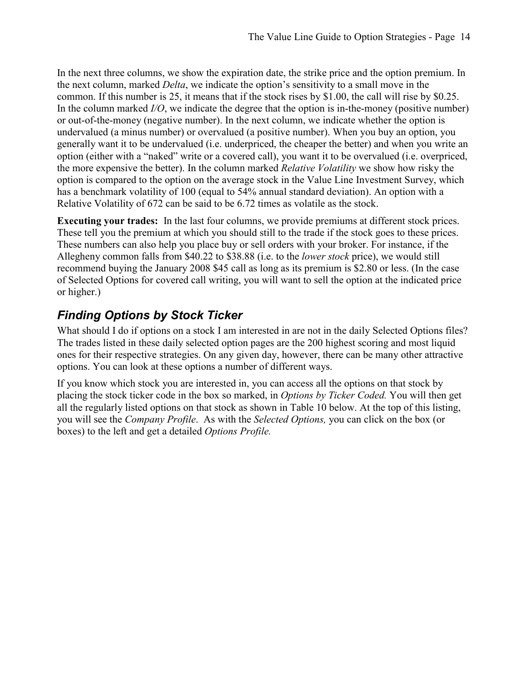In the next three columns, we show the expiration date, the strike price and the option premium. In the next column, marked *Delta*, we indicate the option's sensitivity to a small move in the common. If this number is 25, it means that if the stock rises by \$1.00, the call will rise by \$0.25. In the column marked *I/O*, we indicate the degree that the option is in-the-money (positive number) or out-of-the-money (negative number). In the next column, we indicate whether the option is undervalued (a minus number) or overvalued (a positive number). When you buy an option, you generally want it to be undervalued (i.e. underpriced, the cheaper the better) and when you write an option (either with a "naked" write or a covered call), you want it to be overvalued (i.e. overpriced, the more expensive the better). In the column marked *Relative Volatility* we show how risky the option is compared to the option on the average stock in the Value Line Investment Survey, which has a benchmark volatility of 100 (equal to 54% annual standard deviation). An option with a Relative Volatility of 672 can be said to be 6.72 times as volatile as the stock.

**Executing your trades:** In the last four columns, we provide premiums at different stock prices. These tell you the premium at which you should still to the trade if the stock goes to these prices. These numbers can also help you place buy or sell orders with your broker. For instance, if the Allegheny common falls from \$40.22 to \$38.88 (i.e. to the *lower stock* price), we would still recommend buying the January 2008 \$45 call as long as its premium is \$2.80 or less. (In the case of Selected Options for covered call writing, you will want to sell the option at the indicated price or higher.)

#### *Finding Options by Stock Ticker*

What should I do if options on a stock I am interested in are not in the daily Selected Options files? The trades listed in these daily selected option pages are the 200 highest scoring and most liquid ones for their respective strategies. On any given day, however, there can be many other attractive options. You can look at these options a number of different ways.

If you know which stock you are interested in, you can access all the options on that stock by placing the stock ticker code in the box so marked, in *Options by Ticker Coded.* You will then get all the regularly listed options on that stock as shown in Table 10 below. At the top of this listing, you will see the *Company Profile*. As with the *Selected Options,* you can click on the box (or boxes) to the left and get a detailed *Options Profile.*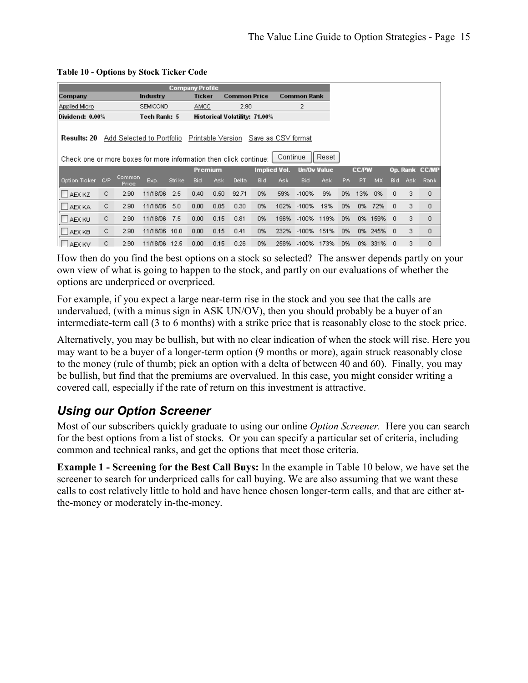|                                                                                  |     |                           |                 |        | <b>Company Profile</b> |         |                     |                                      |          |                    |       |           |              |      |      |      |                |
|----------------------------------------------------------------------------------|-----|---------------------------|-----------------|--------|------------------------|---------|---------------------|--------------------------------------|----------|--------------------|-------|-----------|--------------|------|------|------|----------------|
| Company                                                                          |     |                           | Industry        |        | <b>Ticker</b>          |         | <b>Common Price</b> |                                      |          | <b>Common Rank</b> |       |           |              |      |      |      |                |
| Applied Micro                                                                    |     |                           | <b>SEMICOND</b> |        | <b>AMCC</b>            |         | 2.90                |                                      |          | 2                  |       |           |              |      |      |      |                |
| Dividend: 0.00%                                                                  |     |                           | Tech Rank: 5    |        |                        |         |                     | <b>Historical Volatility: 71.00%</b> |          |                    |       |           |              |      |      |      |                |
| Results: 20<br>Check one or more boxes for more information then click continue: |     | Add Selected to Portfolio |                 |        |                        |         | Printable Version   | Save as CSV format                   | Continue |                    | Reset |           |              |      |      |      |                |
|                                                                                  |     |                           |                 |        |                        | Premium |                     | <b>Implied Vol.</b>                  |          | <b>Un/Ov Value</b> |       |           | <b>CC/PW</b> |      |      |      | Op. Rank CC/MP |
| Option Ticker                                                                    | C/P | Common<br>Price           | Exp.            | Strike | Bid                    | Ask.    | <b>Delta</b>        | Bid                                  | Ask.     | Bid                | Ask.  | <b>PA</b> | PT           | MX.  | Bid. | Ask. | Rank           |
| $\Box$ AEX KZ                                                                    | C   | 2.90                      | 11/18/06        | 2.5    | 0.40                   | 0.50    | 92.71               | 0%                                   | 59%      | $-100%$            | 9%    | 0%        | 13%          | 0%   | 0.   | 3    | 0              |
| <b>LAEX KA</b>                                                                   | C.  | 2.90                      | 11/18/06        | 5.0    | 0.00.                  | 0.05    | 0.30                | 0%                                   | 102%     | $-100%$            | 19%   | 0%        | 0%           | 72%  | 0    | 3    | 0              |
| <b>LAEX KU</b>                                                                   | C.  | 2.90                      | 11/18/06        | 7.5    | 0.00                   | 0.15    | 0.81                | 0%                                   | 196%     | $-100%$            | 119%  | 0%        | 0%           | 159% | 0    | 3.   | 0              |
| <b>LAEX KB</b>                                                                   | C.  | 2.90                      | 11/18/06        | 10.0   | 0.00.                  | 0.15    | 0.41                | 0%                                   | 232%     | $-100%$            | 151%  | 0%        | 0%           | 245% | 0    | 3    | 0              |
| LAEX KV                                                                          | C   | 2.90                      | 11/18/06        | 12.5   | 0.00                   | 0.15    | 0.26                | 0%                                   | 258%     | $-100%$            | 173%  | 0%        | 0%           | 331% | 0    | 3    | 0              |

#### **Table 10 - Options by Stock Ticker Code**

How then do you find the best options on a stock so selected? The answer depends partly on your own view of what is going to happen to the stock, and partly on our evaluations of whether the options are underpriced or overpriced.

For example, if you expect a large near-term rise in the stock and you see that the calls are undervalued, (with a minus sign in ASK UN/OV), then you should probably be a buyer of an intermediate-term call (3 to 6 months) with a strike price that is reasonably close to the stock price.

Alternatively, you may be bullish, but with no clear indication of when the stock will rise. Here you may want to be a buyer of a longer-term option (9 months or more), again struck reasonably close to the money (rule of thumb; pick an option with a delta of between 40 and 60). Finally, you may be bullish, but find that the premiums are overvalued. In this case, you might consider writing a covered call, especially if the rate of return on this investment is attractive.

#### *Using our Option Screener*

Most of our subscribers quickly graduate to using our online *Option Screener.* Here you can search for the best options from a list of stocks. Or you can specify a particular set of criteria, including common and technical ranks, and get the options that meet those criteria.

**Example 1 - Screening for the Best Call Buys:** In the example in Table 10 below, we have set the screener to search for underpriced calls for call buying. We are also assuming that we want these calls to cost relatively little to hold and have hence chosen longer-term calls, and that are either atthe-money or moderately in-the-money.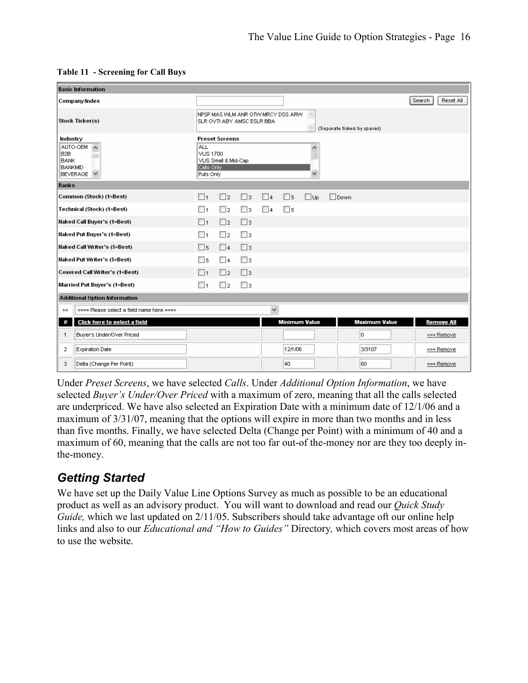|                                                              | <b>Basic Information</b>                                                     |                                                           |                                                                 |             |              |                     |                      |                              |                     |
|--------------------------------------------------------------|------------------------------------------------------------------------------|-----------------------------------------------------------|-----------------------------------------------------------------|-------------|--------------|---------------------|----------------------|------------------------------|---------------------|
|                                                              | Company/Index                                                                |                                                           |                                                                 |             |              |                     |                      |                              | Search<br>Reset All |
|                                                              | Stock Ticker(s)                                                              |                                                           | NPSP MAS WLM ANR GTW MRCY DSS ARW<br>SLR OVTI ABY AMSC ESLR BBA |             |              |                     | $\land$              | (Separate tickers by spaces) |                     |
| Industry<br>B <sub>2B</sub><br><b>BANK</b><br><b>BANKMID</b> | AUTO-OEM<br>$\hat{\phantom{a}}$<br>$\sim$<br>$\checkmark$<br><b>BEVERAGE</b> | <b>ALL</b><br><b>VLIS 1700</b><br>Calls Only<br>Puts Only | <b>Preset Screens</b><br>VLIS Small & Mid-Cap                   |             |              |                     |                      |                              |                     |
| Ranks                                                        |                                                                              |                                                           |                                                                 |             |              |                     |                      |                              |                     |
|                                                              | Common (Stock) (1=Best)                                                      | $\Box$ 1                                                  | $\Box$ 2                                                        | $\square$ 3 | $\Box$ 4     | $\Box$ <sub>5</sub> | $\square$ Up         | <b>Nown</b>                  |                     |
|                                                              | Technical (Stock) (1=Best)                                                   | $\Box$ 1                                                  | $\Box$ 2                                                        | □з          | $\Box$ 4     | $\square$ 5         |                      |                              |                     |
|                                                              | <b>Naked Call Buyer's (1=Best)</b>                                           | $\Box$ 1                                                  | $\Box$ 2                                                        | $\Box$ 3    |              |                     |                      |                              |                     |
|                                                              | <b>Naked Put Buyer's (1=Best)</b>                                            | $\Box$ 1                                                  | $\Box$ 2                                                        | □з          |              |                     |                      |                              |                     |
|                                                              | Naked Call Writer's (5=Best)                                                 | $\Box$ 5                                                  | $\Box$ 4                                                        | $\Box$ 3    |              |                     |                      |                              |                     |
|                                                              | Naked Put Writer's (5=Best)                                                  | $\square$ 5                                               | $\Box$ 4                                                        | $\Box$ 3    |              |                     |                      |                              |                     |
|                                                              | Covered Call Writer's (1=Best)                                               | $\Box$ 1                                                  | $\square$                                                       | $\Box$ 3    |              |                     |                      |                              |                     |
|                                                              | Married Put Buyer's (1=Best)                                                 | $\Box$ 1                                                  | $\Box$ 2                                                        | Πз          |              |                     |                      |                              |                     |
|                                                              | <b>Additional Option Information</b>                                         |                                                           |                                                                 |             |              |                     |                      |                              |                     |
| $>>$                                                         | <=== Please select a field name here ===>                                    |                                                           |                                                                 |             | $\checkmark$ |                     |                      |                              |                     |
| #                                                            | Click here to select a field                                                 |                                                           |                                                                 |             |              |                     | <b>Minimum Value</b> | <b>Maximum Value</b>         | <b>Remove All</b>   |
| 1                                                            | Buyer's Under/Over Priced                                                    |                                                           |                                                                 |             |              |                     |                      | ۱o                           | $\leq$ == Remove    |
| 2                                                            | <b>Expiration Date</b>                                                       |                                                           |                                                                 |             |              | 12/1/06             |                      | 3/3107                       | <== Remove          |
| 3                                                            | Delta (Change Per Point)                                                     |                                                           |                                                                 |             |              | 40                  |                      | 160                          | $\leq$ = Remove     |

|  | <b>Table 11 - Screening for Call Buys</b> |
|--|-------------------------------------------|
|--|-------------------------------------------|

Under *Preset Screens*, we have selected *Calls*. Under *Additional Option Information*, we have selected *Buyer's Under/Over Priced* with a maximum of zero, meaning that all the calls selected are underpriced. We have also selected an Expiration Date with a minimum date of 12/1/06 and a maximum of 3/31/07, meaning that the options will expire in more than two months and in less than five months. Finally, we have selected Delta (Change per Point) with a minimum of 40 and a maximum of 60, meaning that the calls are not too far out-of the-money nor are they too deeply inthe-money.

# *Getting Started*

We have set up the Daily Value Line Options Survey as much as possible to be an educational product as well as an advisory product. You will want to download and read our *Quick Study Guide*, which we last updated on 2/11/05. Subscribers should take advantage oft our online help links and also to our *Educational and "How to Guides"* Directory*,* which covers most areas of how to use the website.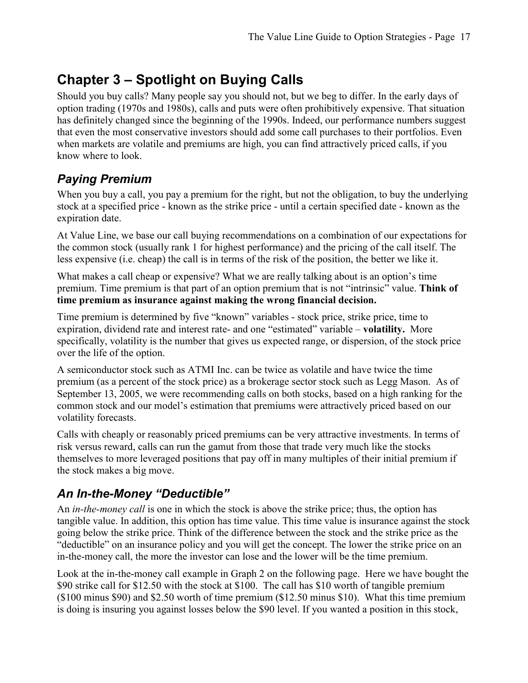# **Chapter 3 – Spotlight on Buying Calls**

Should you buy calls? Many people say you should not, but we beg to differ. In the early days of option trading (1970s and 1980s), calls and puts were often prohibitively expensive. That situation has definitely changed since the beginning of the 1990s. Indeed, our performance numbers suggest that even the most conservative investors should add some call purchases to their portfolios. Even when markets are volatile and premiums are high, you can find attractively priced calls, if you know where to look.

#### *Paying Premium*

When you buy a call, you pay a premium for the right, but not the obligation, to buy the underlying stock at a specified price - known as the strike price - until a certain specified date - known as the expiration date.

At Value Line, we base our call buying recommendations on a combination of our expectations for the common stock (usually rank 1 for highest performance) and the pricing of the call itself. The less expensive (i.e. cheap) the call is in terms of the risk of the position, the better we like it.

What makes a call cheap or expensive? What we are really talking about is an option's time premium. Time premium is that part of an option premium that is not "intrinsic" value. **Think of time premium as insurance against making the wrong financial decision.**

Time premium is determined by five "known" variables - stock price, strike price, time to expiration, dividend rate and interest rate- and one "estimated" variable – **volatility.** More specifically, volatility is the number that gives us expected range, or dispersion, of the stock price over the life of the option.

A semiconductor stock such as ATMI Inc. can be twice as volatile and have twice the time premium (as a percent of the stock price) as a brokerage sector stock such as Legg Mason. As of September 13, 2005, we were recommending calls on both stocks, based on a high ranking for the common stock and our model's estimation that premiums were attractively priced based on our volatility forecasts.

Calls with cheaply or reasonably priced premiums can be very attractive investments. In terms of risk versus reward, calls can run the gamut from those that trade very much like the stocks themselves to more leveraged positions that pay off in many multiples of their initial premium if the stock makes a big move.

#### *An In-the-Money "Deductible"*

An *in-the-money call* is one in which the stock is above the strike price; thus, the option has tangible value. In addition, this option has time value. This time value is insurance against the stock going below the strike price. Think of the difference between the stock and the strike price as the "deductible" on an insurance policy and you will get the concept. The lower the strike price on an in-the-money call, the more the investor can lose and the lower will be the time premium.

Look at the in-the-money call example in Graph 2 on the following page. Here we have bought the \$90 strike call for \$12.50 with the stock at \$100. The call has \$10 worth of tangible premium (\$100 minus \$90) and \$2.50 worth of time premium (\$12.50 minus \$10). What this time premium is doing is insuring you against losses below the \$90 level. If you wanted a position in this stock,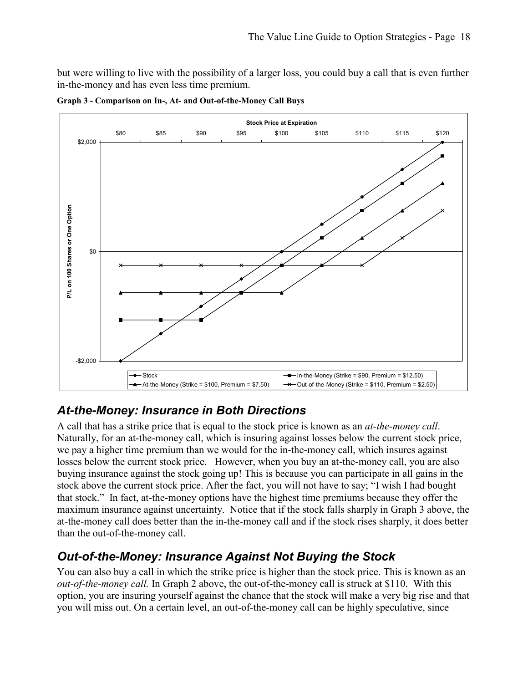but were willing to live with the possibility of a larger loss, you could buy a call that is even further in-the-money and has even less time premium.



**Graph 3 - Comparison on In-, At- and Out-of-the-Money Call Buys** 

#### *At-the-Money: Insurance in Both Directions*

A call that has a strike price that is equal to the stock price is known as an *at-the-money call*. Naturally, for an at-the-money call, which is insuring against losses below the current stock price, we pay a higher time premium than we would for the in-the-money call, which insures against losses below the current stock price. However, when you buy an at-the-money call, you are also buying insurance against the stock going up! This is because you can participate in all gains in the stock above the current stock price. After the fact, you will not have to say; "I wish I had bought that stock." In fact, at-the-money options have the highest time premiums because they offer the maximum insurance against uncertainty. Notice that if the stock falls sharply in Graph 3 above, the at-the-money call does better than the in-the-money call and if the stock rises sharply, it does better than the out-of-the-money call.

#### *Out-of-the-Money: Insurance Against Not Buying the Stock*

You can also buy a call in which the strike price is higher than the stock price. This is known as an *out-of-the-money call.* In Graph 2 above, the out-of-the-money call is struck at \$110. With this option, you are insuring yourself against the chance that the stock will make a very big rise and that you will miss out. On a certain level, an out-of-the-money call can be highly speculative, since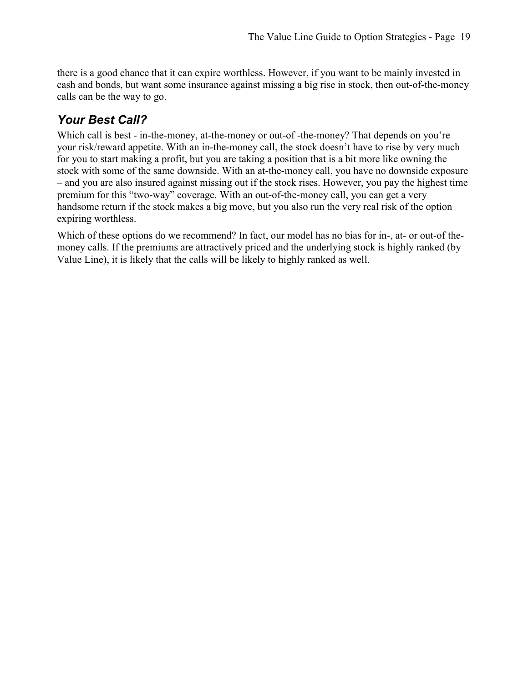there is a good chance that it can expire worthless. However, if you want to be mainly invested in cash and bonds, but want some insurance against missing a big rise in stock, then out-of-the-money calls can be the way to go.

#### *Your Best Call?*

Which call is best - in-the-money, at-the-money or out-of -the-money? That depends on you're your risk/reward appetite. With an in-the-money call, the stock doesn't have to rise by very much for you to start making a profit, but you are taking a position that is a bit more like owning the stock with some of the same downside. With an at-the-money call, you have no downside exposure – and you are also insured against missing out if the stock rises. However, you pay the highest time premium for this "two-way" coverage. With an out-of-the-money call, you can get a very handsome return if the stock makes a big move, but you also run the very real risk of the option expiring worthless.

Which of these options do we recommend? In fact, our model has no bias for in-, at- or out-of themoney calls. If the premiums are attractively priced and the underlying stock is highly ranked (by Value Line), it is likely that the calls will be likely to highly ranked as well.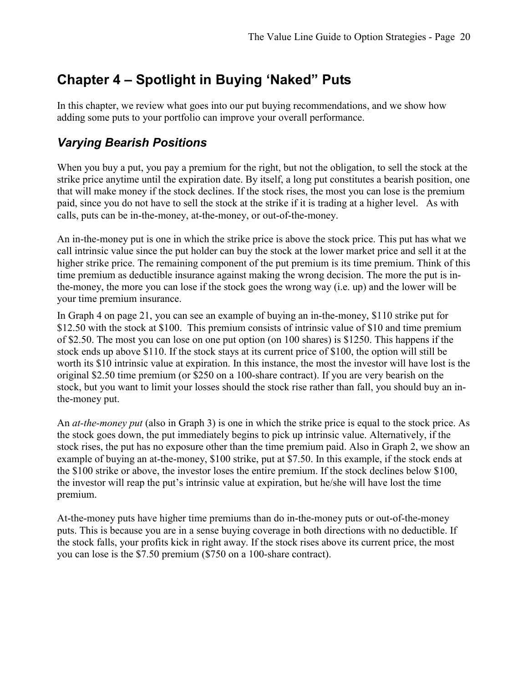# **Chapter 4 – Spotlight in Buying 'Naked" Puts**

In this chapter, we review what goes into our put buying recommendations, and we show how adding some puts to your portfolio can improve your overall performance.

#### *Varying Bearish Positions*

When you buy a put, you pay a premium for the right, but not the obligation, to sell the stock at the strike price anytime until the expiration date. By itself, a long put constitutes a bearish position, one that will make money if the stock declines. If the stock rises, the most you can lose is the premium paid, since you do not have to sell the stock at the strike if it is trading at a higher level. As with calls, puts can be in-the-money, at-the-money, or out-of-the-money.

An in-the-money put is one in which the strike price is above the stock price. This put has what we call intrinsic value since the put holder can buy the stock at the lower market price and sell it at the higher strike price. The remaining component of the put premium is its time premium. Think of this time premium as deductible insurance against making the wrong decision. The more the put is inthe-money, the more you can lose if the stock goes the wrong way (i.e. up) and the lower will be your time premium insurance.

In Graph 4 on page 21, you can see an example of buying an in-the-money, \$110 strike put for \$12.50 with the stock at \$100. This premium consists of intrinsic value of \$10 and time premium of \$2.50. The most you can lose on one put option (on 100 shares) is \$1250. This happens if the stock ends up above \$110. If the stock stays at its current price of \$100, the option will still be worth its \$10 intrinsic value at expiration. In this instance, the most the investor will have lost is the original \$2.50 time premium (or \$250 on a 100-share contract). If you are very bearish on the stock, but you want to limit your losses should the stock rise rather than fall, you should buy an inthe-money put.

An *at-the-money put* (also in Graph 3) is one in which the strike price is equal to the stock price. As the stock goes down, the put immediately begins to pick up intrinsic value. Alternatively, if the stock rises, the put has no exposure other than the time premium paid. Also in Graph 2, we show an example of buying an at-the-money, \$100 strike, put at \$7.50. In this example, if the stock ends at the \$100 strike or above, the investor loses the entire premium. If the stock declines below \$100, the investor will reap the put's intrinsic value at expiration, but he/she will have lost the time premium.

At-the-money puts have higher time premiums than do in-the-money puts or out-of-the-money puts. This is because you are in a sense buying coverage in both directions with no deductible. If the stock falls, your profits kick in right away. If the stock rises above its current price, the most you can lose is the \$7.50 premium (\$750 on a 100-share contract).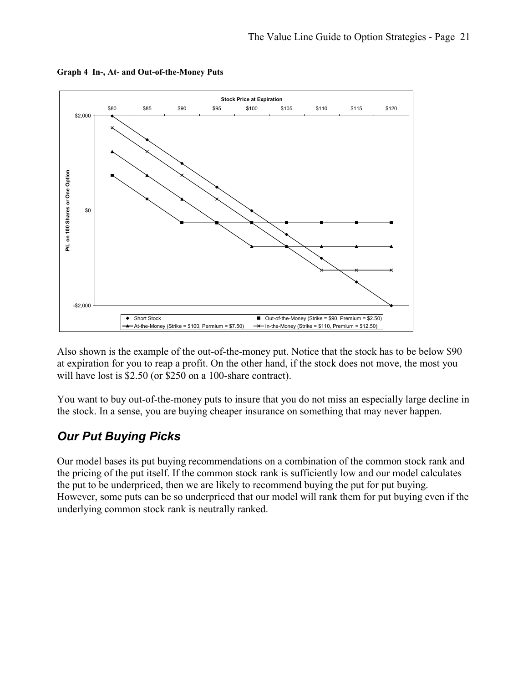

**Graph 4 In-, At- and Out-of-the-Money Puts** 

Also shown is the example of the out-of-the-money put. Notice that the stock has to be below \$90 at expiration for you to reap a profit. On the other hand, if the stock does not move, the most you will have lost is \$2.50 (or \$250 on a 100-share contract).

You want to buy out-of-the-money puts to insure that you do not miss an especially large decline in the stock. In a sense, you are buying cheaper insurance on something that may never happen.

#### *Our Put Buying Picks*

Our model bases its put buying recommendations on a combination of the common stock rank and the pricing of the put itself. If the common stock rank is sufficiently low and our model calculates the put to be underpriced, then we are likely to recommend buying the put for put buying. However, some puts can be so underpriced that our model will rank them for put buying even if the underlying common stock rank is neutrally ranked.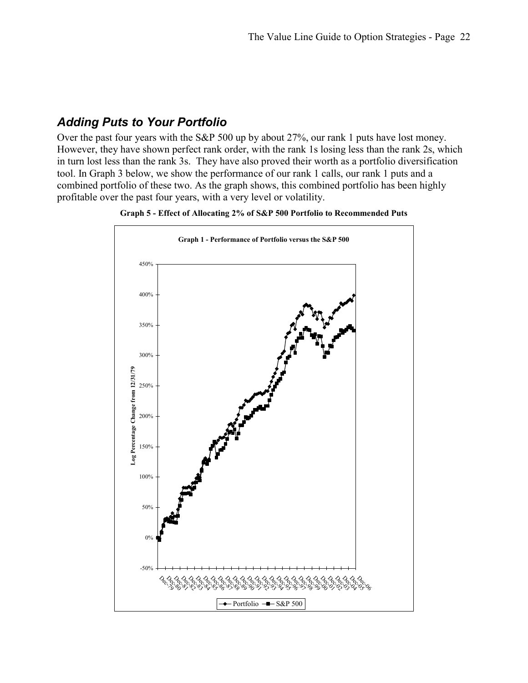#### *Adding Puts to Your Portfolio*

Over the past four years with the S&P 500 up by about 27%, our rank 1 puts have lost money. However, they have shown perfect rank order, with the rank 1s losing less than the rank 2s, which in turn lost less than the rank 3s. They have also proved their worth as a portfolio diversification tool. In Graph 3 below, we show the performance of our rank 1 calls, our rank 1 puts and a combined portfolio of these two. As the graph shows, this combined portfolio has been highly profitable over the past four years, with a very level or volatility.

**Graph 5 - Effect of Allocating 2% of S&P 500 Portfolio to Recommended Puts** 

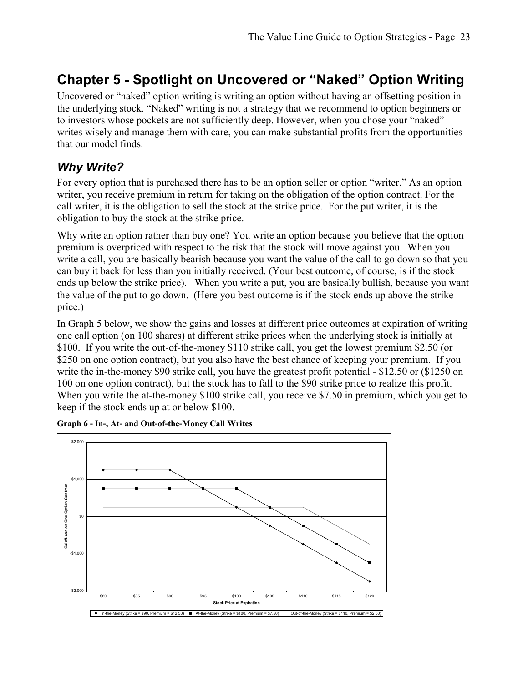# **Chapter 5 - Spotlight on Uncovered or "Naked" Option Writing**

Uncovered or "naked" option writing is writing an option without having an offsetting position in the underlying stock. "Naked" writing is not a strategy that we recommend to option beginners or to investors whose pockets are not sufficiently deep. However, when you chose your "naked" writes wisely and manage them with care, you can make substantial profits from the opportunities that our model finds.

#### *Why Write?*

For every option that is purchased there has to be an option seller or option "writer." As an option writer, you receive premium in return for taking on the obligation of the option contract. For the call writer, it is the obligation to sell the stock at the strike price. For the put writer, it is the obligation to buy the stock at the strike price.

Why write an option rather than buy one? You write an option because you believe that the option premium is overpriced with respect to the risk that the stock will move against you. When you write a call, you are basically bearish because you want the value of the call to go down so that you can buy it back for less than you initially received. (Your best outcome, of course, is if the stock ends up below the strike price). When you write a put, you are basically bullish, because you want the value of the put to go down. (Here you best outcome is if the stock ends up above the strike price.)

In Graph 5 below, we show the gains and losses at different price outcomes at expiration of writing one call option (on 100 shares) at different strike prices when the underlying stock is initially at \$100. If you write the out-of-the-money \$110 strike call, you get the lowest premium \$2.50 (or \$250 on one option contract), but you also have the best chance of keeping your premium. If you write the in-the-money \$90 strike call, you have the greatest profit potential - \$12.50 or (\$1250 on 100 on one option contract), but the stock has to fall to the \$90 strike price to realize this profit. When you write the at-the-money \$100 strike call, you receive \$7.50 in premium, which you get to keep if the stock ends up at or below \$100.



**Graph 6 - In-, At- and Out-of-the-Money Call Writes**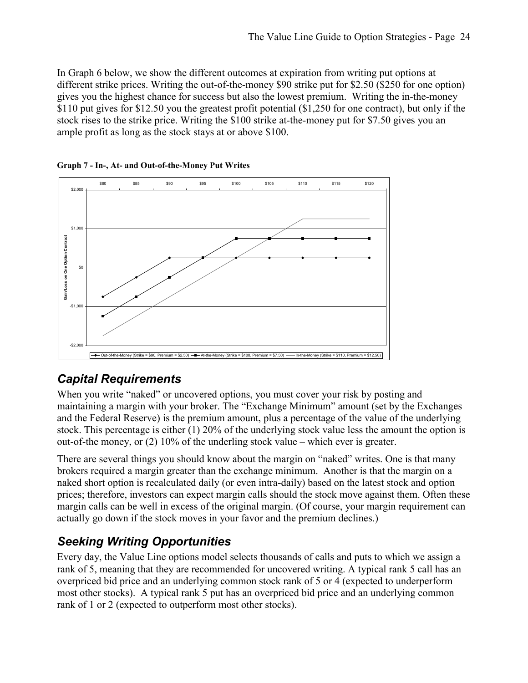In Graph 6 below, we show the different outcomes at expiration from writing put options at different strike prices. Writing the out-of-the-money \$90 strike put for \$2.50 (\$250 for one option) gives you the highest chance for success but also the lowest premium. Writing the in-the-money \$110 put gives for \$12.50 you the greatest profit potential (\$1,250 for one contract), but only if the stock rises to the strike price. Writing the \$100 strike at-the-money put for \$7.50 gives you an ample profit as long as the stock stays at or above \$100.





#### *Capital Requirements*

When you write "naked" or uncovered options, you must cover your risk by posting and maintaining a margin with your broker. The "Exchange Minimum" amount (set by the Exchanges and the Federal Reserve) is the premium amount, plus a percentage of the value of the underlying stock. This percentage is either (1) 20% of the underlying stock value less the amount the option is out-of-the money, or (2) 10% of the underling stock value – which ever is greater.

There are several things you should know about the margin on "naked" writes. One is that many brokers required a margin greater than the exchange minimum. Another is that the margin on a naked short option is recalculated daily (or even intra-daily) based on the latest stock and option prices; therefore, investors can expect margin calls should the stock move against them. Often these margin calls can be well in excess of the original margin. (Of course, your margin requirement can actually go down if the stock moves in your favor and the premium declines.)

#### *Seeking Writing Opportunities*

Every day, the Value Line options model selects thousands of calls and puts to which we assign a rank of 5, meaning that they are recommended for uncovered writing. A typical rank 5 call has an overpriced bid price and an underlying common stock rank of 5 or 4 (expected to underperform most other stocks). A typical rank 5 put has an overpriced bid price and an underlying common rank of 1 or 2 (expected to outperform most other stocks).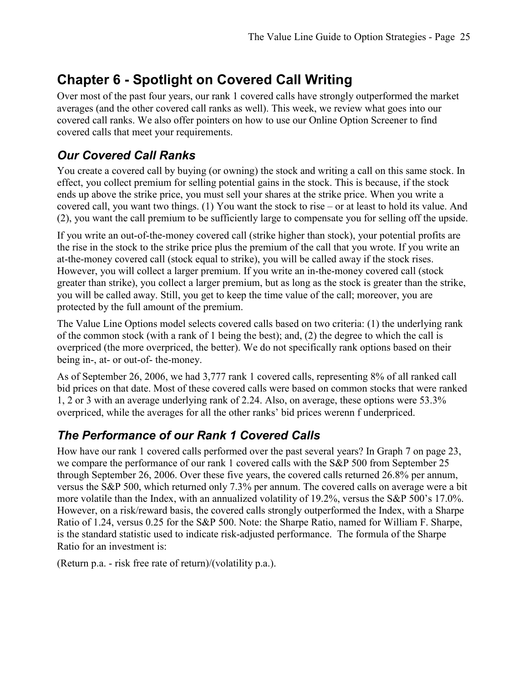# **Chapter 6 - Spotlight on Covered Call Writing**

Over most of the past four years, our rank 1 covered calls have strongly outperformed the market averages (and the other covered call ranks as well). This week, we review what goes into our covered call ranks. We also offer pointers on how to use our Online Option Screener to find covered calls that meet your requirements.

#### *Our Covered Call Ranks*

You create a covered call by buying (or owning) the stock and writing a call on this same stock. In effect, you collect premium for selling potential gains in the stock. This is because, if the stock ends up above the strike price, you must sell your shares at the strike price. When you write a covered call, you want two things. (1) You want the stock to rise – or at least to hold its value. And (2), you want the call premium to be sufficiently large to compensate you for selling off the upside.

If you write an out-of-the-money covered call (strike higher than stock), your potential profits are the rise in the stock to the strike price plus the premium of the call that you wrote. If you write an at-the-money covered call (stock equal to strike), you will be called away if the stock rises. However, you will collect a larger premium. If you write an in-the-money covered call (stock greater than strike), you collect a larger premium, but as long as the stock is greater than the strike, you will be called away. Still, you get to keep the time value of the call; moreover, you are protected by the full amount of the premium.

The Value Line Options model selects covered calls based on two criteria: (1) the underlying rank of the common stock (with a rank of 1 being the best); and, (2) the degree to which the call is overpriced (the more overpriced, the better). We do not specifically rank options based on their being in-, at- or out-of- the-money.

As of September 26, 2006, we had 3,777 rank 1 covered calls, representing 8% of all ranked call bid prices on that date. Most of these covered calls were based on common stocks that were ranked 1, 2 or 3 with an average underlying rank of 2.24. Also, on average, these options were 53.3% overpriced, while the averages for all the other ranks' bid prices werenn f underpriced.

#### *The Performance of our Rank 1 Covered Calls*

How have our rank 1 covered calls performed over the past several years? In Graph 7 on page 23, we compare the performance of our rank 1 covered calls with the S&P 500 from September 25 through September 26, 2006. Over these five years, the covered calls returned 26.8% per annum, versus the S&P 500, which returned only 7.3% per annum. The covered calls on average were a bit more volatile than the Index, with an annualized volatility of 19.2%, versus the S&P 500's 17.0%. However, on a risk/reward basis, the covered calls strongly outperformed the Index, with a Sharpe Ratio of 1.24, versus 0.25 for the S&P 500. Note: the Sharpe Ratio, named for William F. Sharpe, is the standard statistic used to indicate risk-adjusted performance. The formula of the Sharpe Ratio for an investment is:

(Return p.a. - risk free rate of return)/(volatility p.a.).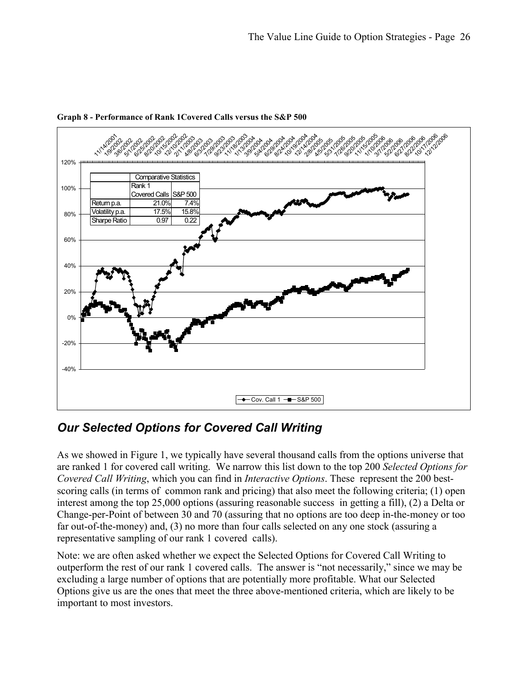

**Graph 8 - Performance of Rank 1Covered Calls versus the S&P 500** 

#### *Our Selected Options for Covered Call Writing*

As we showed in Figure 1, we typically have several thousand calls from the options universe that are ranked 1 for covered call writing. We narrow this list down to the top 200 *Selected Options for Covered Call Writing*, which you can find in *Interactive Options*. These represent the 200 bestscoring calls (in terms of common rank and pricing) that also meet the following criteria; (1) open interest among the top 25,000 options (assuring reasonable success in getting a fill), (2) a Delta or Change-per-Point of between 30 and 70 (assuring that no options are too deep in-the-money or too far out-of-the-money) and, (3) no more than four calls selected on any one stock (assuring a representative sampling of our rank 1 covered calls).

Note: we are often asked whether we expect the Selected Options for Covered Call Writing to outperform the rest of our rank 1 covered calls. The answer is "not necessarily," since we may be excluding a large number of options that are potentially more profitable. What our Selected Options give us are the ones that meet the three above-mentioned criteria, which are likely to be important to most investors.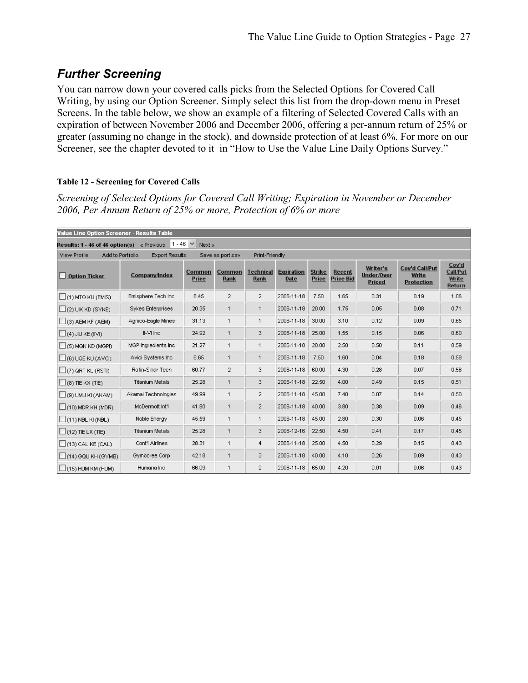## *Further Screening*

You can narrow down your covered calls picks from the Selected Options for Covered Call Writing, by using our Option Screener. Simply select this list from the drop-down menu in Preset Screens. In the table below, we show an example of a filtering of Selected Covered Calls with an expiration of between November 2006 and December 2006, offering a per-annum return of 25% or greater (assuming no change in the stock), and downside protection of at least 6%. For more on our Screener, see the chapter devoted to it in "How to Use the Value Line Daily Options Survey."

#### **Table 12 - Screening for Covered Calls**

*Screening of Selected Options for Covered Call Writing; Expiration in November or December 2006, Per Annum Return of 25% or more, Protection of 6% or more* 

| Value Line Option Screener - Results Table                            |                        |                 |                  |                   |                           |                        |                            |                                  |                                                     |                                             |
|-----------------------------------------------------------------------|------------------------|-----------------|------------------|-------------------|---------------------------|------------------------|----------------------------|----------------------------------|-----------------------------------------------------|---------------------------------------------|
| 1 - 46 $\vee$<br>Next »<br>Results: 1 - 46 of 46 option(s) « Previous |                        |                 |                  |                   |                           |                        |                            |                                  |                                                     |                                             |
| Add to Portfolio<br>View Profile                                      | <b>Export Results</b>  |                 | Save as port.csv | Print-Friendly    |                           |                        |                            |                                  |                                                     |                                             |
| <b>Option Ticker</b>                                                  | <b>Company/Index</b>   | Common<br>Price | Common<br>Rank   | Technical<br>Rank | <b>Expiration</b><br>Date | <b>Strike</b><br>Price | Recent<br><b>Price Bid</b> | Writer's<br>Under/Over<br>Priced | <b>Cov'd Call/Put</b><br>Write<br><b>Protection</b> | Cov'd<br><b>Call/Put</b><br>Write<br>Return |
| $(1)$ MTQ KU (EMIS)                                                   | Emisphere Tech Inc.    | 8.45            | $\overline{2}$   | $\overline{2}$    | 2006-11-18                | 7.50                   | 1.65                       | 0.31                             | 0.19                                                | 1.06                                        |
| $\Box$ (2) UIK KD (SYKE)                                              | Sykes Enterprises      | 20.35           | 1                | $\mathbf{1}$      | 2006-11-18                | 20.00                  | 1.75                       | 0.05                             | 0.08                                                | 0.71                                        |
| $\Box$ (3) AEM KF (AEM)                                               | Agnico-Eagle Mines     | 31.13           | 1                | $\mathbf{1}$      | 2006-11-18                | 30.00                  | 3.10                       | 0.12                             | 0.09                                                | 0.65                                        |
| $\Box$ (4) JIU KE (IIVI)                                              | II-VI Inc.             | 24.92           | 1                | 3                 | 2006-11-18                | 25.00                  | 1.55                       | 0.15                             | 0.06                                                | 0.60                                        |
| $\Box$ (5) MQK KD (MGPI)                                              | MGP Ingredients Inc.   | 21.27           | 1                | $\mathbf 1$       | 2006-11-18                | 20.00                  | 2.50                       | 0.50                             | 0.11                                                | 0.59                                        |
| $\Box$ (6) UQE KU (AVCI)                                              | Avici Systems Inc.     | 8.65            | 1                | $\mathbf{1}$      | 2006-11-18                | 7.50                   | 1.60                       | 0.04                             | 0.18                                                | 0.58                                        |
| $\Box$ (7) QRT KL (RSTI)                                              | Rofin-Sinar Tech       | 60.77           | $\overline{2}$   | 3                 | 2006-11-18                | 60.00                  | 4.30                       | 0.28                             | 0.07                                                | 0.56                                        |
| $(8)$ TIE KX (TIE)                                                    | <b>Titanium Metals</b> | 25.28           | 1                | 3                 | 2006-11-18                | 22.50                  | 4.00                       | 0.49                             | 0.15                                                | 0.51                                        |
| $\Box$ (9) UMU KI (AKAM)                                              | Akamai Technologies    | 49.99           | 1                | $\overline{2}$    | 2006-11-18                | 45.00                  | 7.40                       | 0.07                             | 0.14                                                | 0.50                                        |
| $\Box$ (10) MDR KH (MDR)                                              | McDermott Int'l        | 41.80           | 1                | $\overline{2}$    | 2006-11-18                | 40.00                  | 3.80                       | 0.38                             | 0.09                                                | 0.46                                        |
| $\Box$ (11) NBL KI (NBL)                                              | Noble Energy           | 45.59           | 1                | $\mathbf{1}$      | 2006-11-18                | 45.00                  | 2.80                       | 0.30                             | 0.06                                                | 0.45                                        |
| $\Box$ (12) TIE LX (TIE)                                              | <b>Titanium Metals</b> | 25.28           | 1                | 3                 | 2006-12-16                | 22.50                  | 4.50                       | 0.41                             | 0.17                                                | 0.45                                        |
| $\Box$ (13) CAL KE (CAL)                                              | Cont'l Airlines        | 28.31           | 1                | 4                 | 2006-11-18                | 25.00                  | 4.50                       | 0.29                             | 0.15                                                | 0.43                                        |
| $\Box$ (14) GQU KH (GYMB)                                             | Gymboree Corp          | 42.18           | 1                | 3                 | 2006-11-18                | 40.00                  | 4.10                       | 0.26                             | 0.09                                                | 0.43                                        |
| $\Box$ (15) HUM KM (HUM)                                              | Humana Inc.            | 66.09           | 1                | $\overline{2}$    | 2006-11-18                | 65.00                  | 4.20                       | 0.01                             | 0.06                                                | 0.43                                        |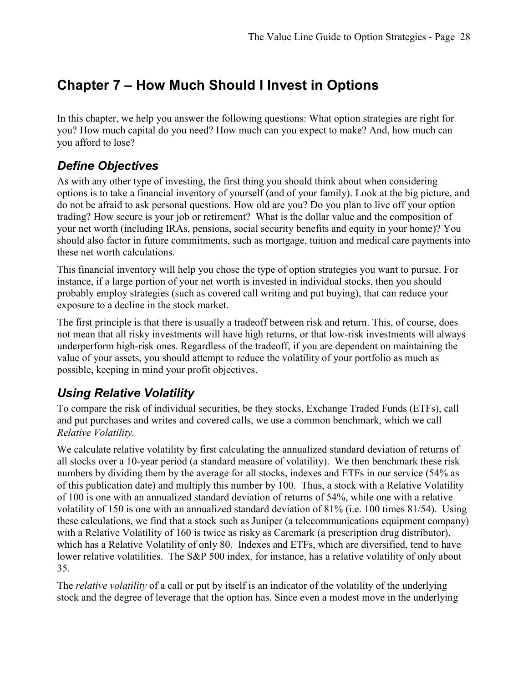# **Chapter 7 – How Much Should I Invest in Options**

In this chapter, we help you answer the following questions: What option strategies are right for you? How much capital do you need? How much can you expect to make? And, how much can you afford to lose?

#### *Define Objectives*

As with any other type of investing, the first thing you should think about when considering options is to take a financial inventory of yourself (and of your family). Look at the big picture, and do not be afraid to ask personal questions. How old are you? Do you plan to live off your option trading? How secure is your job or retirement? What is the dollar value and the composition of your net worth (including IRAs, pensions, social security benefits and equity in your home)? You should also factor in future commitments, such as mortgage, tuition and medical care payments into these net worth calculations.

This financial inventory will help you chose the type of option strategies you want to pursue. For instance, if a large portion of your net worth is invested in individual stocks, then you should probably employ strategies (such as covered call writing and put buying), that can reduce your exposure to a decline in the stock market.

The first principle is that there is usually a tradeoff between risk and return. This, of course, does not mean that all risky investments will have high returns, or that low-risk investments will always underperform high-risk ones. Regardless of the tradeoff, if you are dependent on maintaining the value of your assets, you should attempt to reduce the volatility of your portfolio as much as possible, keeping in mind your profit objectives.

#### *Using Relative Volatility*

To compare the risk of individual securities, be they stocks, Exchange Traded Funds (ETFs), call and put purchases and writes and covered calls, we use a common benchmark, which we call *Relative Volatility.* 

We calculate relative volatility by first calculating the annualized standard deviation of returns of all stocks over a 10-year period (a standard measure of volatility). We then benchmark these risk numbers by dividing them by the average for all stocks, indexes and ETFs in our service (54% as of this publication date) and multiply this number by 100. Thus, a stock with a Relative Volatility of 100 is one with an annualized standard deviation of returns of 54%, while one with a relative volatility of 150 is one with an annualized standard deviation of 81% (i.e. 100 times 81/54). Using these calculations, we find that a stock such as Juniper (a telecommunications equipment company) with a Relative Volatility of 160 is twice as risky as Caremark (a prescription drug distributor), which has a Relative Volatility of only 80. Indexes and ETFs, which are diversified, tend to have lower relative volatilities. The S&P 500 index, for instance, has a relative volatility of only about 35.

The *relative volatility* of a call or put by itself is an indicator of the volatility of the underlying stock and the degree of leverage that the option has. Since even a modest move in the underlying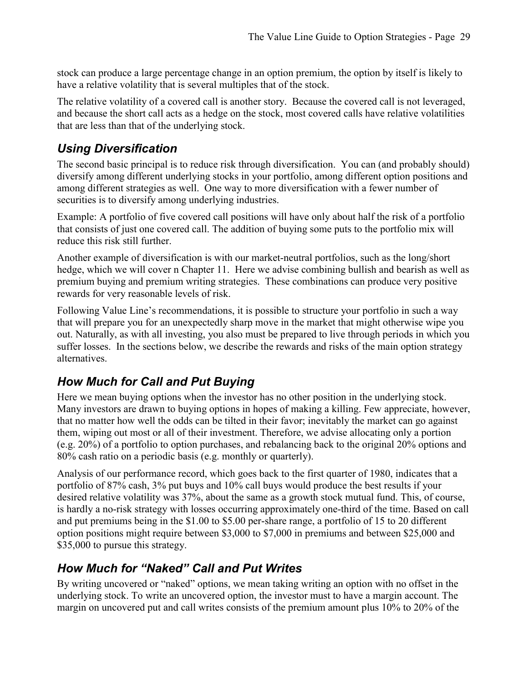stock can produce a large percentage change in an option premium, the option by itself is likely to have a relative volatility that is several multiples that of the stock.

The relative volatility of a covered call is another story. Because the covered call is not leveraged, and because the short call acts as a hedge on the stock, most covered calls have relative volatilities that are less than that of the underlying stock.

#### *Using Diversification*

The second basic principal is to reduce risk through diversification. You can (and probably should) diversify among different underlying stocks in your portfolio, among different option positions and among different strategies as well. One way to more diversification with a fewer number of securities is to diversify among underlying industries.

Example: A portfolio of five covered call positions will have only about half the risk of a portfolio that consists of just one covered call. The addition of buying some puts to the portfolio mix will reduce this risk still further.

Another example of diversification is with our market-neutral portfolios, such as the long/short hedge, which we will cover n Chapter 11. Here we advise combining bullish and bearish as well as premium buying and premium writing strategies. These combinations can produce very positive rewards for very reasonable levels of risk.

Following Value Line's recommendations, it is possible to structure your portfolio in such a way that will prepare you for an unexpectedly sharp move in the market that might otherwise wipe you out. Naturally, as with all investing, you also must be prepared to live through periods in which you suffer losses. In the sections below, we describe the rewards and risks of the main option strategy alternatives.

#### *How Much for Call and Put Buying*

Here we mean buying options when the investor has no other position in the underlying stock. Many investors are drawn to buying options in hopes of making a killing. Few appreciate, however, that no matter how well the odds can be tilted in their favor; inevitably the market can go against them, wiping out most or all of their investment. Therefore, we advise allocating only a portion (e.g. 20%) of a portfolio to option purchases, and rebalancing back to the original 20% options and 80% cash ratio on a periodic basis (e.g. monthly or quarterly).

Analysis of our performance record, which goes back to the first quarter of 1980, indicates that a portfolio of 87% cash, 3% put buys and 10% call buys would produce the best results if your desired relative volatility was 37%, about the same as a growth stock mutual fund. This, of course, is hardly a no-risk strategy with losses occurring approximately one-third of the time. Based on call and put premiums being in the \$1.00 to \$5.00 per-share range, a portfolio of 15 to 20 different option positions might require between \$3,000 to \$7,000 in premiums and between \$25,000 and \$35,000 to pursue this strategy.

#### *How Much for "Naked" Call and Put Writes*

By writing uncovered or "naked" options, we mean taking writing an option with no offset in the underlying stock. To write an uncovered option, the investor must to have a margin account. The margin on uncovered put and call writes consists of the premium amount plus 10% to 20% of the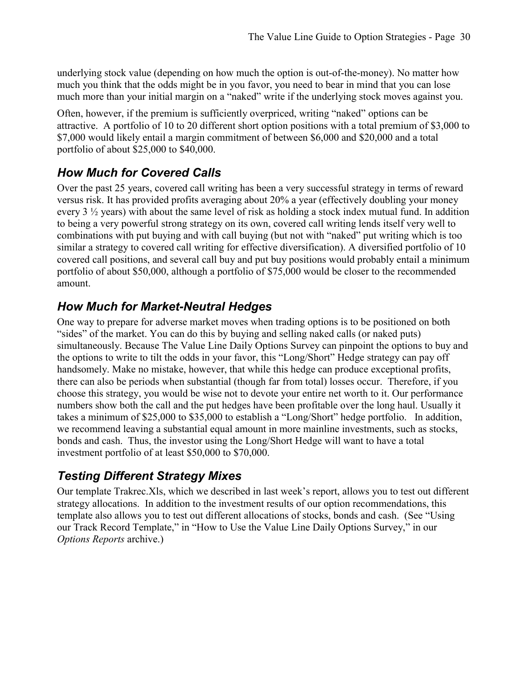underlying stock value (depending on how much the option is out-of-the-money). No matter how much you think that the odds might be in you favor, you need to bear in mind that you can lose much more than your initial margin on a "naked" write if the underlying stock moves against you.

Often, however, if the premium is sufficiently overpriced, writing "naked" options can be attractive. A portfolio of 10 to 20 different short option positions with a total premium of \$3,000 to \$7,000 would likely entail a margin commitment of between \$6,000 and \$20,000 and a total portfolio of about \$25,000 to \$40,000.

#### *How Much for Covered Calls*

Over the past 25 years, covered call writing has been a very successful strategy in terms of reward versus risk. It has provided profits averaging about 20% a year (effectively doubling your money every 3  $\frac{1}{2}$  years) with about the same level of risk as holding a stock index mutual fund. In addition to being a very powerful strong strategy on its own, covered call writing lends itself very well to combinations with put buying and with call buying (but not with "naked" put writing which is too similar a strategy to covered call writing for effective diversification). A diversified portfolio of 10 covered call positions, and several call buy and put buy positions would probably entail a minimum portfolio of about \$50,000, although a portfolio of \$75,000 would be closer to the recommended amount.

#### *How Much for Market-Neutral Hedges*

One way to prepare for adverse market moves when trading options is to be positioned on both "sides" of the market. You can do this by buying and selling naked calls (or naked puts) simultaneously. Because The Value Line Daily Options Survey can pinpoint the options to buy and the options to write to tilt the odds in your favor, this "Long/Short" Hedge strategy can pay off handsomely. Make no mistake, however, that while this hedge can produce exceptional profits, there can also be periods when substantial (though far from total) losses occur. Therefore, if you choose this strategy, you would be wise not to devote your entire net worth to it. Our performance numbers show both the call and the put hedges have been profitable over the long haul. Usually it takes a minimum of \$25,000 to \$35,000 to establish a "Long/Short" hedge portfolio. In addition, we recommend leaving a substantial equal amount in more mainline investments, such as stocks, bonds and cash. Thus, the investor using the Long/Short Hedge will want to have a total investment portfolio of at least \$50,000 to \$70,000.

#### *Testing Different Strategy Mixes*

Our template Trakrec.Xls, which we described in last week's report, allows you to test out different strategy allocations. In addition to the investment results of our option recommendations, this template also allows you to test out different allocations of stocks, bonds and cash. (See "Using our Track Record Template," in "How to Use the Value Line Daily Options Survey," in our *Options Reports* archive.)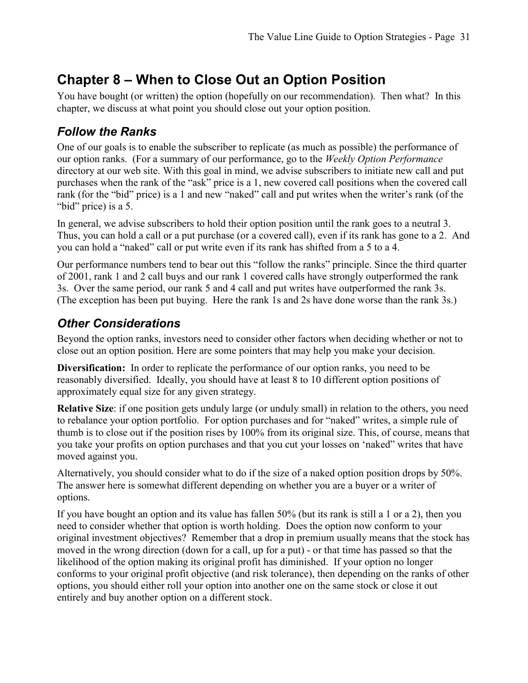# **Chapter 8 – When to Close Out an Option Position**

You have bought (or written) the option (hopefully on our recommendation). Then what? In this chapter, we discuss at what point you should close out your option position.

#### *Follow the Ranks*

One of our goals is to enable the subscriber to replicate (as much as possible) the performance of our option ranks. (For a summary of our performance, go to the *Weekly Option Performance*  directory at our web site. With this goal in mind, we advise subscribers to initiate new call and put purchases when the rank of the "ask" price is a 1, new covered call positions when the covered call rank (for the "bid" price) is a 1 and new "naked" call and put writes when the writer's rank (of the "bid" price) is a 5.

In general, we advise subscribers to hold their option position until the rank goes to a neutral 3. Thus, you can hold a call or a put purchase (or a covered call), even if its rank has gone to a 2. And you can hold a "naked" call or put write even if its rank has shifted from a 5 to a 4.

Our performance numbers tend to bear out this "follow the ranks" principle. Since the third quarter of 2001, rank 1 and 2 call buys and our rank 1 covered calls have strongly outperformed the rank 3s. Over the same period, our rank 5 and 4 call and put writes have outperformed the rank 3s. (The exception has been put buying. Here the rank 1s and 2s have done worse than the rank 3s.)

#### *Other Considerations*

Beyond the option ranks, investors need to consider other factors when deciding whether or not to close out an option position. Here are some pointers that may help you make your decision.

**Diversification:** In order to replicate the performance of our option ranks, you need to be reasonably diversified. Ideally, you should have at least 8 to 10 different option positions of approximately equal size for any given strategy.

**Relative Size**: if one position gets unduly large (or unduly small) in relation to the others, you need to rebalance your option portfolio. For option purchases and for "naked" writes, a simple rule of thumb is to close out if the position rises by 100% from its original size. This, of course, means that you take your profits on option purchases and that you cut your losses on 'naked" writes that have moved against you.

Alternatively, you should consider what to do if the size of a naked option position drops by 50%. The answer here is somewhat different depending on whether you are a buyer or a writer of options.

If you have bought an option and its value has fallen 50% (but its rank is still a 1 or a 2), then you need to consider whether that option is worth holding. Does the option now conform to your original investment objectives? Remember that a drop in premium usually means that the stock has moved in the wrong direction (down for a call, up for a put) - or that time has passed so that the likelihood of the option making its original profit has diminished. If your option no longer conforms to your original profit objective (and risk tolerance), then depending on the ranks of other options, you should either roll your option into another one on the same stock or close it out entirely and buy another option on a different stock.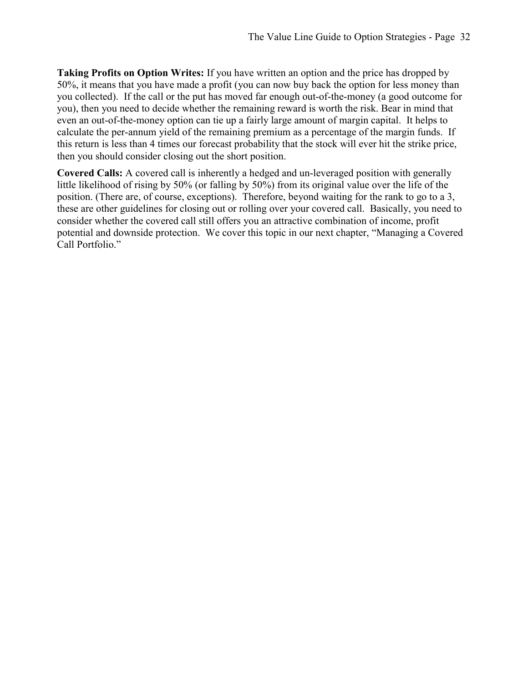**Taking Profits on Option Writes:** If you have written an option and the price has dropped by 50%, it means that you have made a profit (you can now buy back the option for less money than you collected). If the call or the put has moved far enough out-of-the-money (a good outcome for you), then you need to decide whether the remaining reward is worth the risk. Bear in mind that even an out-of-the-money option can tie up a fairly large amount of margin capital. It helps to calculate the per-annum yield of the remaining premium as a percentage of the margin funds. If this return is less than 4 times our forecast probability that the stock will ever hit the strike price, then you should consider closing out the short position.

**Covered Calls:** A covered call is inherently a hedged and un-leveraged position with generally little likelihood of rising by 50% (or falling by 50%) from its original value over the life of the position. (There are, of course, exceptions). Therefore, beyond waiting for the rank to go to a 3, these are other guidelines for closing out or rolling over your covered call. Basically, you need to consider whether the covered call still offers you an attractive combination of income, profit potential and downside protection. We cover this topic in our next chapter, "Managing a Covered Call Portfolio."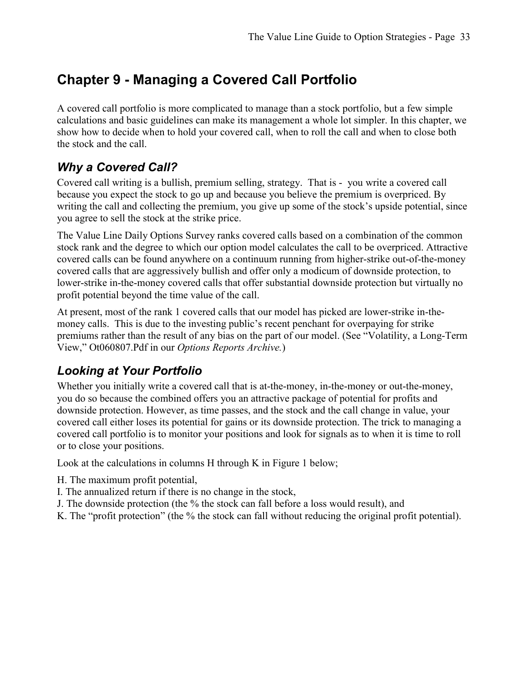# **Chapter 9 - Managing a Covered Call Portfolio**

A covered call portfolio is more complicated to manage than a stock portfolio, but a few simple calculations and basic guidelines can make its management a whole lot simpler. In this chapter, we show how to decide when to hold your covered call, when to roll the call and when to close both the stock and the call.

#### *Why a Covered Call?*

Covered call writing is a bullish, premium selling, strategy. That is - you write a covered call because you expect the stock to go up and because you believe the premium is overpriced. By writing the call and collecting the premium, you give up some of the stock's upside potential, since you agree to sell the stock at the strike price.

The Value Line Daily Options Survey ranks covered calls based on a combination of the common stock rank and the degree to which our option model calculates the call to be overpriced. Attractive covered calls can be found anywhere on a continuum running from higher-strike out-of-the-money covered calls that are aggressively bullish and offer only a modicum of downside protection, to lower-strike in-the-money covered calls that offer substantial downside protection but virtually no profit potential beyond the time value of the call.

At present, most of the rank 1 covered calls that our model has picked are lower-strike in-themoney calls. This is due to the investing public's recent penchant for overpaying for strike premiums rather than the result of any bias on the part of our model. (See "Volatility, a Long-Term View," Ot060807.Pdf in our *Options Reports Archive.*)

#### *Looking at Your Portfolio*

Whether you initially write a covered call that is at-the-money, in-the-money or out-the-money, you do so because the combined offers you an attractive package of potential for profits and downside protection. However, as time passes, and the stock and the call change in value, your covered call either loses its potential for gains or its downside protection. The trick to managing a covered call portfolio is to monitor your positions and look for signals as to when it is time to roll or to close your positions.

Look at the calculations in columns H through K in Figure 1 below;

- H. The maximum profit potential,
- I. The annualized return if there is no change in the stock,
- J. The downside protection (the % the stock can fall before a loss would result), and
- K. The "profit protection" (the % the stock can fall without reducing the original profit potential).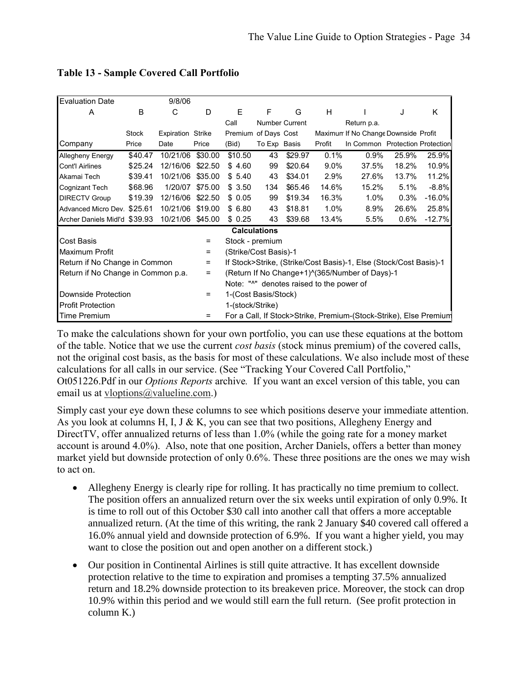| <b>Evaluation Date</b>             |              | 9/8/06            |         |                       |                     |                |                                          |                                                                   |       |           |
|------------------------------------|--------------|-------------------|---------|-----------------------|---------------------|----------------|------------------------------------------|-------------------------------------------------------------------|-------|-----------|
| A                                  | В            | C                 | D       | E                     | F                   | G              | H                                        |                                                                   | J     | Κ         |
|                                    |              |                   |         | Call                  |                     | Number Current |                                          | Return p.a.                                                       |       |           |
|                                    | <b>Stock</b> | Expiration Strike |         | Premium               | of Days Cost        |                |                                          | Maximum If No Change Downside Profit                              |       |           |
| Company                            | Price        | Date              | Price   | (Bid)                 | To Exp Basis        |                | Profit                                   | In Common Protection Protection                                   |       |           |
| Allegheny Energy                   | \$40.47      | 10/21/06 \$30.00  |         | \$10.50               | 43                  | \$29.97        | 0.1%                                     | 0.9%                                                              | 25.9% | 25.9%     |
| Cont'l Airlines                    | \$25.24      | 12/16/06          | \$22.50 | \$4.60                | 99                  | \$20.64        | $9.0\%$                                  | 37.5%                                                             | 18.2% | 10.9%     |
| Akamai Tech                        | \$39.41      | 10/21/06          | \$35.00 | \$5.40                | 43                  | \$34.01        | 2.9%                                     | 27.6%                                                             | 13.7% | 11.2%     |
| Cognizant Tech                     | \$68.96      | 1/20/07           | \$75.00 | \$3.50                | 134                 | \$65.46        | 14.6%                                    | 15.2%                                                             | 5.1%  | $-8.8%$   |
| <b>DIRECTV Group</b>               | \$19.39      | 12/16/06          | \$22.50 | \$0.05                | 99                  | \$19.34        | 16.3%                                    | 1.0%                                                              | 0.3%  | $-16.0\%$ |
| Advanced Micro Dev. \$25.61        |              | 10/21/06          | \$19.00 | \$6.80                | 43                  | \$18.81        | 1.0%                                     | 8.9%                                                              | 26.6% | 25.8%     |
| Archer Daniels Midl'd \$39.93      |              | 10/21/06          | \$45.00 | \$0.25                | 43                  | \$39.68        | 13.4%                                    | $5.5\%$                                                           | 0.6%  | $-12.7%$  |
|                                    |              |                   |         |                       | <b>Calculations</b> |                |                                          |                                                                   |       |           |
| Cost Basis                         |              |                   | Ξ       | Stock - premium       |                     |                |                                          |                                                                   |       |           |
| Maximum Profit                     |              |                   | =       | (Strike/Cost Basis)-1 |                     |                |                                          |                                                                   |       |           |
| Return if No Change in Common      |              |                   | Ξ       |                       |                     |                |                                          | If Stock>Strike, (Strike/Cost Basis)-1, Else (Stock/Cost Basis)-1 |       |           |
| Return if No Change in Common p.a. |              |                   | =       |                       |                     |                |                                          | (Return If No Change+1)^(365/Number of Days)-1                    |       |           |
|                                    |              |                   |         |                       |                     |                | Note: "^" denotes raised to the power of |                                                                   |       |           |
| Downside Protection                |              |                   | =       | 1-(Cost Basis/Stock)  |                     |                |                                          |                                                                   |       |           |
| <b>Profit Protection</b>           |              |                   |         | 1-(stock/Strike)      |                     |                |                                          |                                                                   |       |           |
| <b>Time Premium</b>                |              |                   | =       |                       |                     |                |                                          | For a Call, If Stock>Strike, Premium-(Stock-Strike), Else Premium |       |           |

#### **Table 13 - Sample Covered Call Portfolio**

To make the calculations shown for your own portfolio, you can use these equations at the bottom of the table. Notice that we use the current *cost basis* (stock minus premium) of the covered calls, not the original cost basis, as the basis for most of these calculations. We also include most of these calculations for all calls in our service. (See "Tracking Your Covered Call Portfolio," Ot051226.Pdf in our *Options Reports* archive*.* If you want an excel version of this table, you can email us at vloptions@valueline.com.)

Simply cast your eye down these columns to see which positions deserve your immediate attention. As you look at columns H, I, J & K, you can see that two positions, Allegheny Energy and DirectTV, offer annualized returns of less than 1.0% (while the going rate for a money market account is around 4.0%). Also, note that one position, Archer Daniels, offers a better than money market yield but downside protection of only 0.6%. These three positions are the ones we may wish to act on.

- Allegheny Energy is clearly ripe for rolling. It has practically no time premium to collect. The position offers an annualized return over the six weeks until expiration of only 0.9%. It is time to roll out of this October \$30 call into another call that offers a more acceptable annualized return. (At the time of this writing, the rank 2 January \$40 covered call offered a 16.0% annual yield and downside protection of 6.9%. If you want a higher yield, you may want to close the position out and open another on a different stock.)
- Our position in Continental Airlines is still quite attractive. It has excellent downside protection relative to the time to expiration and promises a tempting 37.5% annualized return and 18.2% downside protection to its breakeven price. Moreover, the stock can drop 10.9% within this period and we would still earn the full return. (See profit protection in column K.)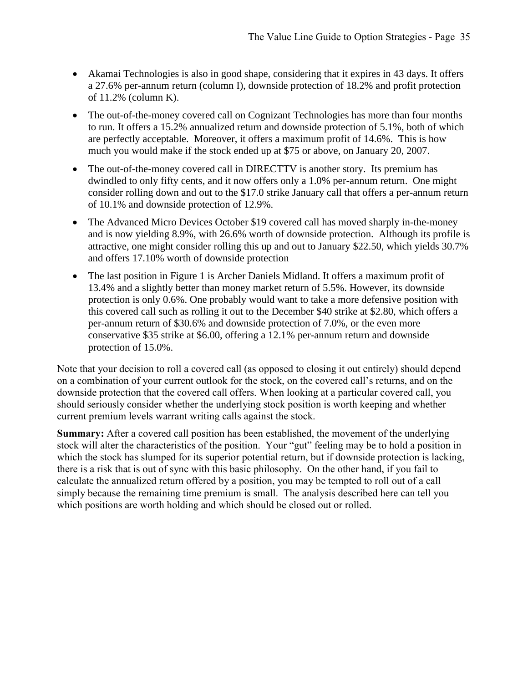- Akamai Technologies is also in good shape, considering that it expires in 43 days. It offers a 27.6% per-annum return (column I), downside protection of 18.2% and profit protection of 11.2% (column K).
- The out-of-the-money covered call on Cognizant Technologies has more than four months to run. It offers a 15.2% annualized return and downside protection of 5.1%, both of which are perfectly acceptable. Moreover, it offers a maximum profit of 14.6%. This is how much you would make if the stock ended up at \$75 or above, on January 20, 2007.
- The out-of-the-money covered call in DIRECTTV is another story. Its premium has dwindled to only fifty cents, and it now offers only a 1.0% per-annum return. One might consider rolling down and out to the \$17.0 strike January call that offers a per-annum return of 10.1% and downside protection of 12.9%.
- The Advanced Micro Devices October \$19 covered call has moved sharply in-the-money and is now yielding 8.9%, with 26.6% worth of downside protection. Although its profile is attractive, one might consider rolling this up and out to January \$22.50, which yields 30.7% and offers 17.10% worth of downside protection
- The last position in Figure 1 is Archer Daniels Midland. It offers a maximum profit of 13.4% and a slightly better than money market return of 5.5%. However, its downside protection is only 0.6%. One probably would want to take a more defensive position with this covered call such as rolling it out to the December \$40 strike at \$2.80, which offers a per-annum return of \$30.6% and downside protection of 7.0%, or the even more conservative \$35 strike at \$6.00, offering a 12.1% per-annum return and downside protection of 15.0%.

Note that your decision to roll a covered call (as opposed to closing it out entirely) should depend on a combination of your current outlook for the stock, on the covered call's returns, and on the downside protection that the covered call offers. When looking at a particular covered call, you should seriously consider whether the underlying stock position is worth keeping and whether current premium levels warrant writing calls against the stock.

**Summary:** After a covered call position has been established, the movement of the underlying stock will alter the characteristics of the position. Your "gut" feeling may be to hold a position in which the stock has slumped for its superior potential return, but if downside protection is lacking, there is a risk that is out of sync with this basic philosophy. On the other hand, if you fail to calculate the annualized return offered by a position, you may be tempted to roll out of a call simply because the remaining time premium is small. The analysis described here can tell you which positions are worth holding and which should be closed out or rolled.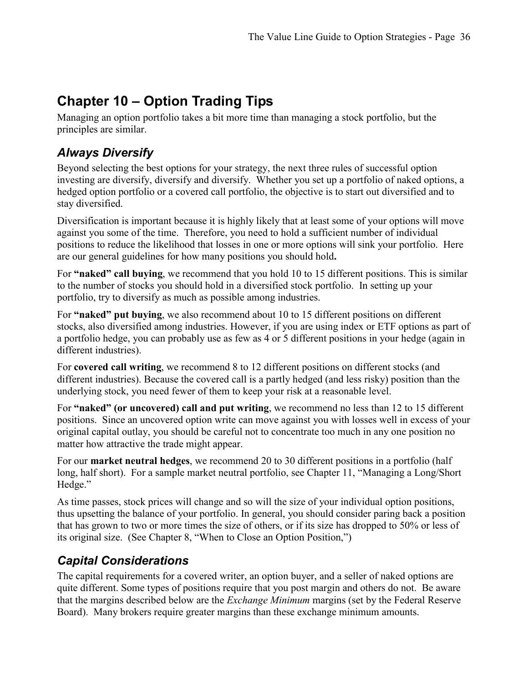# **Chapter 10 – Option Trading Tips**

Managing an option portfolio takes a bit more time than managing a stock portfolio, but the principles are similar.

## *Always Diversify*

Beyond selecting the best options for your strategy, the next three rules of successful option investing are diversify, diversify and diversify. Whether you set up a portfolio of naked options, a hedged option portfolio or a covered call portfolio, the objective is to start out diversified and to stay diversified.

Diversification is important because it is highly likely that at least some of your options will move against you some of the time. Therefore, you need to hold a sufficient number of individual positions to reduce the likelihood that losses in one or more options will sink your portfolio. Here are our general guidelines for how many positions you should hold**.** 

For **"naked" call buying**, we recommend that you hold 10 to 15 different positions. This is similar to the number of stocks you should hold in a diversified stock portfolio. In setting up your portfolio, try to diversify as much as possible among industries.

For **"naked" put buying**, we also recommend about 10 to 15 different positions on different stocks, also diversified among industries. However, if you are using index or ETF options as part of a portfolio hedge, you can probably use as few as 4 or 5 different positions in your hedge (again in different industries).

For **covered call writing**, we recommend 8 to 12 different positions on different stocks (and different industries). Because the covered call is a partly hedged (and less risky) position than the underlying stock, you need fewer of them to keep your risk at a reasonable level.

For **"naked" (or uncovered) call and put writing**, we recommend no less than 12 to 15 different positions. Since an uncovered option write can move against you with losses well in excess of your original capital outlay, you should be careful not to concentrate too much in any one position no matter how attractive the trade might appear.

For our **market neutral hedges**, we recommend 20 to 30 different positions in a portfolio (half long, half short). For a sample market neutral portfolio, see Chapter 11, "Managing a Long/Short Hedge."

As time passes, stock prices will change and so will the size of your individual option positions, thus upsetting the balance of your portfolio. In general, you should consider paring back a position that has grown to two or more times the size of others, or if its size has dropped to 50% or less of its original size. (See Chapter 8, "When to Close an Option Position,")

#### *Capital Considerations*

The capital requirements for a covered writer, an option buyer, and a seller of naked options are quite different. Some types of positions require that you post margin and others do not. Be aware that the margins described below are the *Exchange Minimum* margins (set by the Federal Reserve Board). Many brokers require greater margins than these exchange minimum amounts.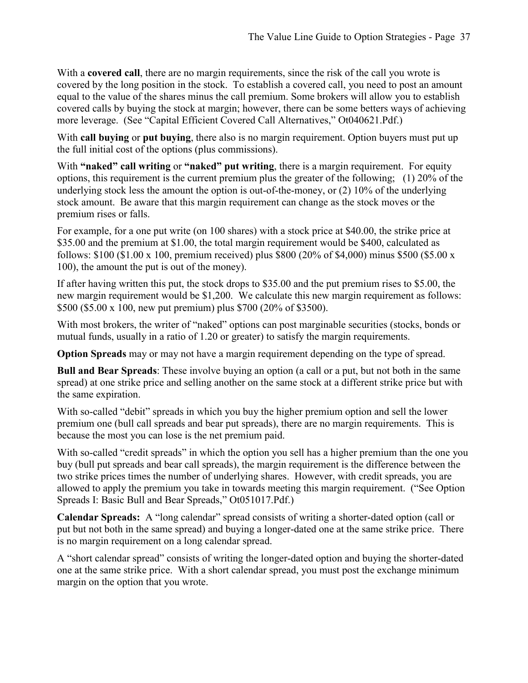With a **covered call**, there are no margin requirements, since the risk of the call you wrote is covered by the long position in the stock. To establish a covered call, you need to post an amount equal to the value of the shares minus the call premium. Some brokers will allow you to establish covered calls by buying the stock at margin; however, there can be some betters ways of achieving more leverage. (See "Capital Efficient Covered Call Alternatives," Ot040621.Pdf.)

With **call buying** or **put buying**, there also is no margin requirement. Option buyers must put up the full initial cost of the options (plus commissions).

With "naked" call writing or "naked" put writing, there is a margin requirement. For equity options, this requirement is the current premium plus the greater of the following; (1) 20% of the underlying stock less the amount the option is out-of-the-money, or (2) 10% of the underlying stock amount. Be aware that this margin requirement can change as the stock moves or the premium rises or falls.

For example, for a one put write (on 100 shares) with a stock price at \$40.00, the strike price at \$35.00 and the premium at \$1.00, the total margin requirement would be \$400, calculated as follows: \$100 (\$1.00 x 100, premium received) plus \$800 (20% of \$4,000) minus \$500 (\$5.00 x 100), the amount the put is out of the money).

If after having written this put, the stock drops to \$35.00 and the put premium rises to \$5.00, the new margin requirement would be \$1,200. We calculate this new margin requirement as follows: \$500 (\$5.00 x 100, new put premium) plus \$700 (20% of \$3500).

With most brokers, the writer of "naked" options can post marginable securities (stocks, bonds or mutual funds, usually in a ratio of 1.20 or greater) to satisfy the margin requirements.

**Option Spreads** may or may not have a margin requirement depending on the type of spread.

**Bull and Bear Spreads**: These involve buying an option (a call or a put, but not both in the same spread) at one strike price and selling another on the same stock at a different strike price but with the same expiration.

With so-called "debit" spreads in which you buy the higher premium option and sell the lower premium one (bull call spreads and bear put spreads), there are no margin requirements. This is because the most you can lose is the net premium paid.

With so-called "credit spreads" in which the option you sell has a higher premium than the one you buy (bull put spreads and bear call spreads), the margin requirement is the difference between the two strike prices times the number of underlying shares. However, with credit spreads, you are allowed to apply the premium you take in towards meeting this margin requirement. ("See Option Spreads I: Basic Bull and Bear Spreads," Ot051017.Pdf.)

**Calendar Spreads:** A "long calendar" spread consists of writing a shorter-dated option (call or put but not both in the same spread) and buying a longer-dated one at the same strike price. There is no margin requirement on a long calendar spread.

A "short calendar spread" consists of writing the longer-dated option and buying the shorter-dated one at the same strike price. With a short calendar spread, you must post the exchange minimum margin on the option that you wrote.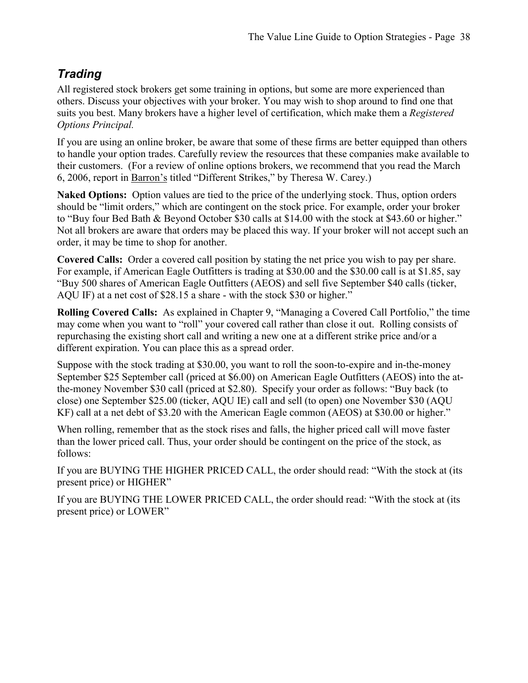#### *Trading*

All registered stock brokers get some training in options, but some are more experienced than others. Discuss your objectives with your broker. You may wish to shop around to find one that suits you best. Many brokers have a higher level of certification, which make them a *Registered Options Principal.* 

If you are using an online broker, be aware that some of these firms are better equipped than others to handle your option trades. Carefully review the resources that these companies make available to their customers. (For a review of online options brokers, we recommend that you read the March 6, 2006, report in Barron's titled "Different Strikes," by Theresa W. Carey.)

**Naked Options:** Option values are tied to the price of the underlying stock. Thus, option orders should be "limit orders," which are contingent on the stock price. For example, order your broker to "Buy four Bed Bath & Beyond October \$30 calls at \$14.00 with the stock at \$43.60 or higher." Not all brokers are aware that orders may be placed this way. If your broker will not accept such an order, it may be time to shop for another.

**Covered Calls:** Order a covered call position by stating the net price you wish to pay per share. For example, if American Eagle Outfitters is trading at \$30.00 and the \$30.00 call is at \$1.85, say "Buy 500 shares of American Eagle Outfitters (AEOS) and sell five September \$40 calls (ticker, AQU IF) at a net cost of \$28.15 a share - with the stock \$30 or higher."

**Rolling Covered Calls:** As explained in Chapter 9, "Managing a Covered Call Portfolio," the time may come when you want to "roll" your covered call rather than close it out. Rolling consists of repurchasing the existing short call and writing a new one at a different strike price and/or a different expiration. You can place this as a spread order.

Suppose with the stock trading at \$30.00, you want to roll the soon-to-expire and in-the-money September \$25 September call (priced at \$6.00) on American Eagle Outfitters (AEOS) into the atthe-money November \$30 call (priced at \$2.80). Specify your order as follows: "Buy back (to close) one September \$25.00 (ticker, AQU IE) call and sell (to open) one November \$30 (AQU KF) call at a net debt of \$3.20 with the American Eagle common (AEOS) at \$30.00 or higher."

When rolling, remember that as the stock rises and falls, the higher priced call will move faster than the lower priced call. Thus, your order should be contingent on the price of the stock, as follows:

If you are BUYING THE HIGHER PRICED CALL, the order should read: "With the stock at (its present price) or HIGHER"

If you are BUYING THE LOWER PRICED CALL, the order should read: "With the stock at (its present price) or LOWER"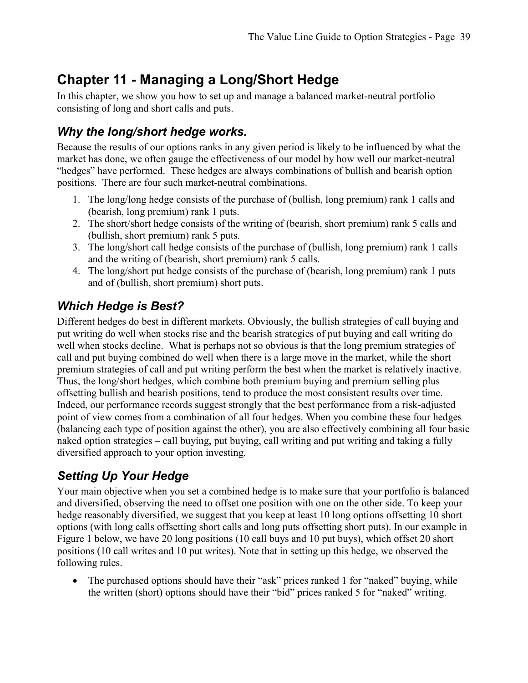# **Chapter 11 - Managing a Long/Short Hedge**

In this chapter, we show you how to set up and manage a balanced market-neutral portfolio consisting of long and short calls and puts.

#### *Why the long/short hedge works.*

Because the results of our options ranks in any given period is likely to be influenced by what the market has done, we often gauge the effectiveness of our model by how well our market-neutral "hedges" have performed. These hedges are always combinations of bullish and bearish option positions. There are four such market-neutral combinations.

- 1. The long/long hedge consists of the purchase of (bullish, long premium) rank 1 calls and (bearish, long premium) rank 1 puts.
- 2. The short/short hedge consists of the writing of (bearish, short premium) rank 5 calls and (bullish, short premium) rank 5 puts.
- 3. The long/short call hedge consists of the purchase of (bullish, long premium) rank 1 calls and the writing of (bearish, short premium) rank 5 calls.
- 4. The long/short put hedge consists of the purchase of (bearish, long premium) rank 1 puts and of (bullish, short premium) short puts.

## *Which Hedge is Best?*

Different hedges do best in different markets. Obviously, the bullish strategies of call buying and put writing do well when stocks rise and the bearish strategies of put buying and call writing do well when stocks decline. What is perhaps not so obvious is that the long premium strategies of call and put buying combined do well when there is a large move in the market, while the short premium strategies of call and put writing perform the best when the market is relatively inactive. Thus, the long/short hedges, which combine both premium buying and premium selling plus offsetting bullish and bearish positions, tend to produce the most consistent results over time. Indeed, our performance records suggest strongly that the best performance from a risk-adjusted point of view comes from a combination of all four hedges. When you combine these four hedges (balancing each type of position against the other), you are also effectively combining all four basic naked option strategies – call buying, put buying, call writing and put writing and taking a fully diversified approach to your option investing.

## *Setting Up Your Hedge*

Your main objective when you set a combined hedge is to make sure that your portfolio is balanced and diversified, observing the need to offset one position with one on the other side. To keep your hedge reasonably diversified, we suggest that you keep at least 10 long options offsetting 10 short options (with long calls offsetting short calls and long puts offsetting short puts). In our example in Figure 1 below, we have 20 long positions (10 call buys and 10 put buys), which offset 20 short positions (10 call writes and 10 put writes). Note that in setting up this hedge, we observed the following rules.

• The purchased options should have their "ask" prices ranked 1 for "naked" buying, while the written (short) options should have their "bid" prices ranked 5 for "naked" writing.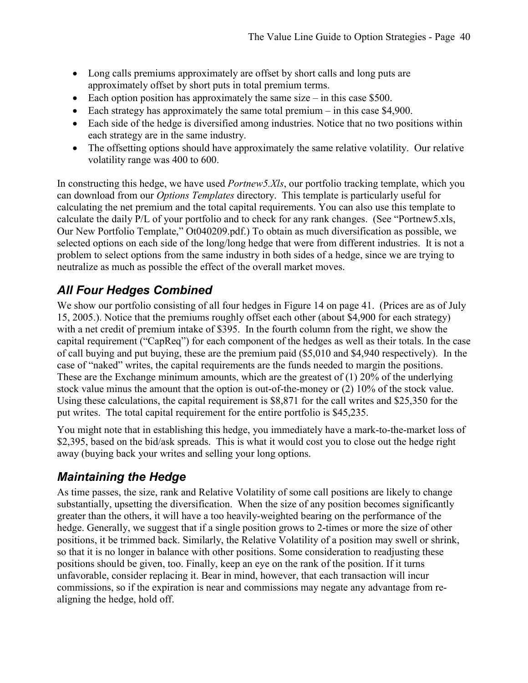- Long calls premiums approximately are offset by short calls and long puts are approximately offset by short puts in total premium terms.
- Each option position has approximately the same size in this case  $$500$ .
- Each strategy has approximately the same total premium in this case \$4,900.
- Each side of the hedge is diversified among industries. Notice that no two positions within each strategy are in the same industry.
- The offsetting options should have approximately the same relative volatility. Our relative volatility range was 400 to 600.

In constructing this hedge, we have used *Portnew5.Xls*, our portfolio tracking template, which you can download from our *Options Templates* directory. This template is particularly useful for calculating the net premium and the total capital requirements. You can also use this template to calculate the daily P/L of your portfolio and to check for any rank changes. (See "Portnew5.xls, Our New Portfolio Template," Ot040209.pdf.) To obtain as much diversification as possible, we selected options on each side of the long/long hedge that were from different industries. It is not a problem to select options from the same industry in both sides of a hedge, since we are trying to neutralize as much as possible the effect of the overall market moves.

#### *All Four Hedges Combined*

We show our portfolio consisting of all four hedges in Figure 14 on page 41. (Prices are as of July 15, 2005.). Notice that the premiums roughly offset each other (about \$4,900 for each strategy) with a net credit of premium intake of \$395. In the fourth column from the right, we show the capital requirement ("CapReq") for each component of the hedges as well as their totals. In the case of call buying and put buying, these are the premium paid (\$5,010 and \$4,940 respectively). In the case of "naked" writes, the capital requirements are the funds needed to margin the positions. These are the Exchange minimum amounts, which are the greatest of (1) 20% of the underlying stock value minus the amount that the option is out-of-the-money or (2) 10% of the stock value. Using these calculations, the capital requirement is \$8,871 for the call writes and \$25,350 for the put writes. The total capital requirement for the entire portfolio is \$45,235.

You might note that in establishing this hedge, you immediately have a mark-to-the-market loss of \$2,395, based on the bid/ask spreads. This is what it would cost you to close out the hedge right away (buying back your writes and selling your long options.

#### *Maintaining the Hedge*

As time passes, the size, rank and Relative Volatility of some call positions are likely to change substantially, upsetting the diversification. When the size of any position becomes significantly greater than the others, it will have a too heavily-weighted bearing on the performance of the hedge. Generally, we suggest that if a single position grows to 2-times or more the size of other positions, it be trimmed back. Similarly, the Relative Volatility of a position may swell or shrink, so that it is no longer in balance with other positions. Some consideration to readjusting these positions should be given, too. Finally, keep an eye on the rank of the position. If it turns unfavorable, consider replacing it. Bear in mind, however, that each transaction will incur commissions, so if the expiration is near and commissions may negate any advantage from realigning the hedge, hold off.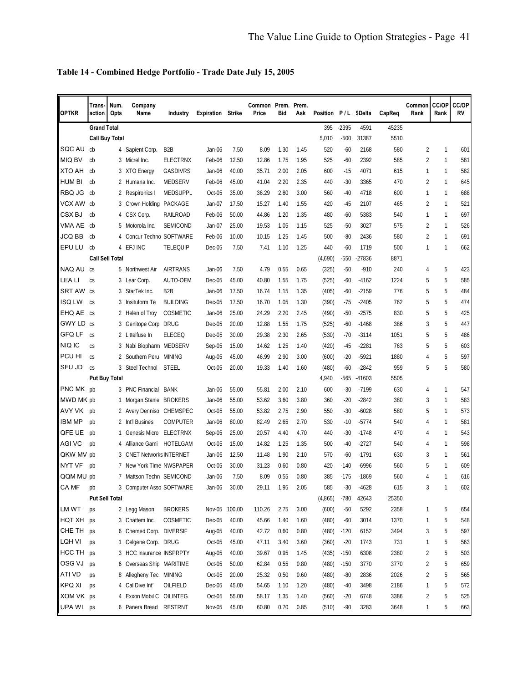| Table 14 - Combined Hedge Portfolio - Trade Date July 15, 2005 |  |  |  |
|----------------------------------------------------------------|--|--|--|
|                                                                |  |  |  |

| <b>OPTKR</b>  | Trans-<br>action       | Num.<br>Opts | Company<br>Name               | Industry         | <b>Expiration Strike</b> |        | Common Prem. Prem.<br>Price | Bid  | Ask  | Position P/L \$Delta |         |          | CapReq | Common<br>Rank | <b>CC/OP</b><br>Rank | CC/OP<br>RV |
|---------------|------------------------|--------------|-------------------------------|------------------|--------------------------|--------|-----------------------------|------|------|----------------------|---------|----------|--------|----------------|----------------------|-------------|
|               | <b>Grand Total</b>     |              |                               |                  |                          |        |                             |      |      | 395                  | $-2395$ | 4591     | 45235  |                |                      |             |
|               | <b>Call Buy Total</b>  |              |                               |                  |                          |        |                             |      |      | 5,010                | $-500$  | 31387    | 5510   |                |                      |             |
| SQC AU        | cb                     |              | 4 Sapient Corp.               | B <sub>2</sub> B | Jan-06                   | 7.50   | 8.09                        | 1.30 | 1.45 | 520                  | $-60$   | 2168     | 580    | 2              | 1                    | 601         |
| <b>MIQ BV</b> | cb                     |              | 3 Micrel Inc.                 | <b>ELECTRNX</b>  | Feb-06                   | 12.50  | 12.86                       | 1.75 | 1.95 | 525                  | $-60$   | 2392     | 585    | 2              | 1                    | 581         |
| <b>XTO AH</b> | cb                     |              | 3 XTO Energy                  | <b>GASDIVRS</b>  | Jan-06                   | 40.00  | 35.71                       | 2.00 | 2.05 | 600                  | $-15$   | 4071     | 615    | 1              | 1                    | 582         |
| <b>HUM BI</b> | cb                     |              | 2 Humana Inc.                 | MEDSERV          | Feb-06                   | 45.00  | 41.04                       | 2.20 | 2.35 | 440                  | $-30$   | 3365     | 470    | 2              | 1                    | 645         |
| RBQ JG        | cb                     |              | 2 Respironics I               | <b>MEDSUPPL</b>  | Oct-05                   | 35.00  | 36.29                       | 2.80 | 3.00 | 560                  | $-40$   | 4718     | 600    | 1              | 1                    | 688         |
| VCX AW        | cb                     | 3            | Crown Holding PACKAGE         |                  | Jan-07                   | 17.50  | 15.27                       | 1.40 | 1.55 | 420                  | -45     | 2107     | 465    | 2              | 1                    | 521         |
| CSX BJ        | cb                     | 4            | CSX Corp.                     | RAILROAD         | Feb-06                   | 50.00  | 44.86                       | 1.20 | 1.35 | 480                  | -60     | 5383     | 540    | 1              | 1                    | 697         |
| VMA AE        | cb                     | 5            | Motorola Inc.                 | <b>SEMICOND</b>  | Jan-07                   | 25.00  | 19.53                       | 1.05 | 1.15 | 525                  | $-50$   | 3027     | 575    | 2              | 1                    | 526         |
| <b>JCQ BB</b> | cb                     | 4            | Concur Techno SOFTWARE        |                  | Feb-06                   | 10.00  | 10.15                       | 1.25 | 1.45 | 500                  | $-80$   | 2436     | 580    | 2              | 1                    | 691         |
| EPU LU        | cb                     | 4            | EFJ INC                       | <b>TELEQUIP</b>  | Dec-05                   | 7.50   | 7.41                        | 1.10 | 1.25 | 440                  | $-60$   | 1719     | 500    | 1              | 1                    | 662         |
|               | <b>Call Sell Total</b> |              |                               |                  |                          |        |                             |      |      | (4,690)              | -550    | $-27836$ | 8871   |                |                      |             |
| NAQ AU        | <b>CS</b>              |              | 5 Northwest Air               | <b>AIRTRANS</b>  | Jan-06                   | 7.50   | 4.79                        | 0.55 | 0.65 | (325)                | $-50$   | $-910$   | 240    | 4              | 5                    | 423         |
| LEA LI        | CS                     |              | 3 Lear Corp.                  | AUTO-OEM         | Dec-05                   | 45.00  | 40.80                       | 1.55 | 1.75 | (525)                | $-60$   | $-4162$  | 1224   | 5              | 5                    | 585         |
| SRT AW cs     |                        | 3            | StarTek Inc.                  | B <sub>2</sub> B | Jan-06                   | 17.50  | 16.74                       | 1.15 | 1.35 | (405)                | $-60$   | $-2159$  | 776    | 5              | 5                    | 484         |
| <b>ISQ LW</b> | <b>CS</b>              | 3            | Insituform Te                 | <b>BUILDING</b>  | Dec-05                   | 17.50  | 16.70                       | 1.05 | 1.30 | (390)                | $-75$   | $-2405$  | 762    | 5              | 5                    | 474         |
| EHQ AE        | <b>CS</b>              | 2            | Helen of Troy                 | COSMETIC         | Jan-06                   | 25.00  | 24.29                       | 2.20 | 2.45 | (490)                | $-50$   | $-2575$  | 830    | 5              | 5                    | 425         |
| GWY LD cs     |                        | 3            | Genitope Corp DRUG            |                  | Dec-05                   | 20.00  | 12.88                       | 1.55 | 1.75 | (525)                | $-60$   | $-1468$  | 386    | 3              | 5                    | 447         |
| GFQ LF        | CS                     |              | 2 Littelfuse In               | <b>ELECEQ</b>    | Dec-05                   | 30.00  | 29.38                       | 2.30 | 2.65 | (530)                | $-70$   | $-3114$  | 1051   | 5              | 5                    | 486         |
| NIQ IC        | CS                     | 3            | Nabi Biopharm MEDSERV         |                  | Sep-05                   | 15.00  | 14.62                       | 1.25 | 1.40 | (420)                | $-45$   | $-2281$  | 763    | 5              | 5                    | 603         |
| PCU HI        | CS                     | 2            | Southern Peru MINING          |                  | Aug-05                   | 45.00  | 46.99                       | 2.90 | 3.00 | (600)                | $-20$   | $-5921$  | 1880   | 4              | 5                    | 597         |
| <b>SFU JD</b> | CS                     |              | 3 Steel Technol STEEL         |                  | Oct-05                   | 20.00  | 19.33                       | 1.40 | 1.60 | (480)                | $-60$   | $-2842$  | 959    | 5              | 5                    | 580         |
|               | <b>Put Buy Total</b>   |              |                               |                  |                          |        |                             |      |      | 4,940                | -565    | $-41603$ | 5505   |                |                      |             |
| PNC MK pb     |                        |              | 3 PNC Financial BANK          |                  | Jan-06                   | 55.00  | 55.81                       | 2.00 | 2.10 | 600                  | $-30$   | $-7199$  | 630    | 4              | 1                    | 547         |
| MWD MK pb     |                        | 1.           | Morgan Stanle BROKERS         |                  | Jan-06                   | 55.00  | 53.62                       | 3.60 | 3.80 | 360                  | $-20$   | $-2842$  | 380    | 3              | 1                    | 583         |
| AVY VK        | pb                     |              | 2 Avery Denniso CHEMSPEC      |                  | Oct-05                   | 55.00  | 53.82                       | 2.75 | 2.90 | 550                  | $-30$   | $-6028$  | 580    | 5              | 1                    | 573         |
| <b>IBM MP</b> | pb                     | 2            | Int'l Busines                 | <b>COMPUTER</b>  | Jan-06                   | 80.00  | 82.49                       | 2.65 | 2.70 | 530                  | $-10$   | $-5774$  | 540    | 4              | 1                    | 581         |
| QFE UE        | pb                     | 1.           | Genesis Micro ELECTRNX        |                  | Sep-05                   | 25.00  | 20.57                       | 4.40 | 4.70 | 440                  | $-30$   | $-1748$  | 470    | 4              | 1                    | 543         |
| AGI VC        | pb                     | 4            | Alliance Gami HOTELGAM        |                  | Oct-05                   | 15.00  | 14.82                       | 1.25 | 1.35 | 500                  | $-40$   | $-2727$  | 540    | 4              | 1                    | 598         |
| QKW MV pb     |                        | 3            | <b>CNET Networks INTERNET</b> |                  | Jan-06                   | 12.50  | 11.48                       | 1.90 | 2.10 | 570                  | $-60$   | $-1791$  | 630    | 3              | 1                    | 561         |
| NYT VF        | pb                     | 7            | New York Time NWSPAPER        |                  | Oct-05                   | 30.00  | 31.23                       | 0.60 | 0.80 | 420                  | $-140$  | $-6996$  | 560    | 5              | 1                    | 609         |
| QQM MU pb     |                        | 7            | Mattson Techn SEMICOND        |                  | Jan-06                   | 7.50   | 8.09                        | 0.55 | 0.80 | 385                  | $-175$  | $-1869$  | 560    | 4              | 1                    | 616         |
| CA MF         | pb                     |              | 3 Computer Asso SOFTWARE      |                  | Jan-06                   | 30.00  | 29.11                       | 1.95 | 2.05 | 585                  | $-30$   | $-4628$  | 615    | 3              | 1                    | 602         |
|               | <b>Put Sell Total</b>  |              |                               |                  |                          |        |                             |      |      | (4, 865)             | $-780$  | 42643    | 25350  |                |                      |             |
| LM WT         | ps                     |              | 2 Legg Mason                  | <b>BROKERS</b>   | Nov-05                   | 100.00 | 110.26                      | 2.75 | 3.00 | (600)                | $-50$   | 5292     | 2358   | 1              | 5                    | 654         |
| HQT XH        | ps                     |              | 3 Chattem Inc.                | COSMETIC         | Dec-05                   | 40.00  | 45.66                       | 1.40 | 1.60 | (480)                | $-60$   | 3014     | 1370   | 1              | 5                    | 548         |
| CHE TH        | ps                     |              | 6 Chemed Corp. DIVERSIF       |                  | Aug-05                   | 40.00  | 42.72                       | 0.60 | 0.80 | (480)                | $-120$  | 6152     | 3494   | 3              | 5                    | 597         |
| LQH VI        | ps                     |              | 1 Celgene Corp. DRUG          |                  | Oct-05                   | 45.00  | 47.11                       | 3.40 | 3.60 | (360)                | $-20$   | 1743     | 731    | 1              | 5                    | 563         |
| HCC TH        | ps                     |              | 3 HCC Insurance INSPRPTY      |                  | Aug-05                   | 40.00  | 39.67                       | 0.95 | 1.45 | (435)                | $-150$  | 6308     | 2380   | 2              | 5                    | 503         |
| OSG VJ        | ps                     |              | 6 Overseas Ship MARITIME      |                  | Oct-05                   | 50.00  | 62.84                       | 0.55 | 0.80 | (480)                | $-150$  | 3770     | 3770   | 2              | 5                    | 659         |
| ATI VD        | ps                     |              | 8 Allegheny Tec MINING        |                  | Oct-05                   | 20.00  | 25.32                       | 0.50 | 0.60 | (480)                | $-80$   | 2836     | 2026   | 2              | 5                    | 565         |
| <b>KPQ XI</b> | ps                     |              | 4 Cal Dive Int'               | OILFIELD         | Dec-05                   | 45.00  | 54.65                       | 1.10 | 1.20 | (480)                | $-40$   | 3498     | 2186   | 1              | 5                    | 572         |
| XOM VK ps     |                        | 4            | Exxon Mobil C OILINTEG        |                  | Oct-05                   | 55.00  | 58.17                       | 1.35 | 1.40 | (560)                | $-20$   | 6748     | 3386   | 2              | 5                    | 525         |
| UPA WI ps     |                        |              | 6 Panera Bread RESTRNT        |                  | Nov-05                   | 45.00  | 60.80                       | 0.70 | 0.85 | (510)                | $-90$   | 3283     | 3648   | 1              | 5                    | 663         |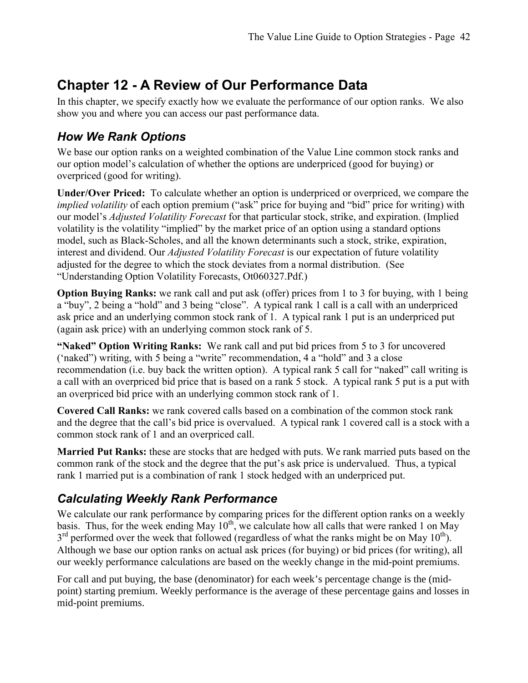# **Chapter 12 - A Review of Our Performance Data**

In this chapter, we specify exactly how we evaluate the performance of our option ranks. We also show you and where you can access our past performance data.

#### *How We Rank Options*

We base our option ranks on a weighted combination of the Value Line common stock ranks and our option model's calculation of whether the options are underpriced (good for buying) or overpriced (good for writing).

**Under/Over Priced:** To calculate whether an option is underpriced or overpriced, we compare the *implied volatility* of each option premium ("ask" price for buying and "bid" price for writing) with our model's *Adjusted Volatility Forecast* for that particular stock, strike, and expiration. (Implied volatility is the volatility "implied" by the market price of an option using a standard options model, such as Black-Scholes, and all the known determinants such a stock, strike, expiration, interest and dividend. Our *Adjusted Volatility Forecast* is our expectation of future volatility adjusted for the degree to which the stock deviates from a normal distribution. (See "Understanding Option Volatility Forecasts, Ot060327.Pdf.)

**Option Buying Ranks:** we rank call and put ask (offer) prices from 1 to 3 for buying, with 1 being a "buy", 2 being a "hold" and 3 being "close". A typical rank 1 call is a call with an underpriced ask price and an underlying common stock rank of 1. A typical rank 1 put is an underpriced put (again ask price) with an underlying common stock rank of 5.

**"Naked" Option Writing Ranks:** We rank call and put bid prices from 5 to 3 for uncovered ('naked") writing, with 5 being a "write" recommendation, 4 a "hold" and 3 a close recommendation (i.e. buy back the written option). A typical rank 5 call for "naked" call writing is a call with an overpriced bid price that is based on a rank 5 stock. A typical rank 5 put is a put with an overpriced bid price with an underlying common stock rank of 1.

**Covered Call Ranks:** we rank covered calls based on a combination of the common stock rank and the degree that the call's bid price is overvalued. A typical rank 1 covered call is a stock with a common stock rank of 1 and an overpriced call.

**Married Put Ranks:** these are stocks that are hedged with puts. We rank married puts based on the common rank of the stock and the degree that the put's ask price is undervalued. Thus, a typical rank 1 married put is a combination of rank 1 stock hedged with an underpriced put.

#### *Calculating Weekly Rank Performance*

We calculate our rank performance by comparing prices for the different option ranks on a weekly basis. Thus, for the week ending May  $10^{th}$ , we calculate how all calls that were ranked 1 on May  $3<sup>rd</sup>$  performed over the week that followed (regardless of what the ranks might be on May 10<sup>th</sup>). Although we base our option ranks on actual ask prices (for buying) or bid prices (for writing), all our weekly performance calculations are based on the weekly change in the mid-point premiums.

For call and put buying, the base (denominator) for each week's percentage change is the (midpoint) starting premium. Weekly performance is the average of these percentage gains and losses in mid-point premiums.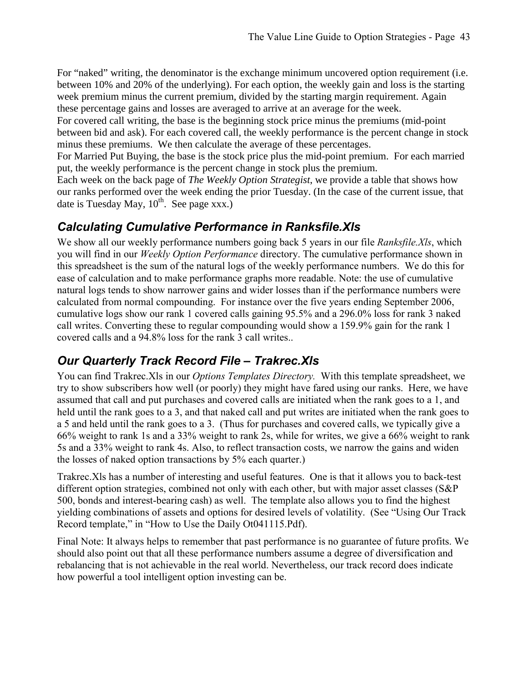For "naked" writing, the denominator is the exchange minimum uncovered option requirement (i.e. between 10% and 20% of the underlying). For each option, the weekly gain and loss is the starting week premium minus the current premium, divided by the starting margin requirement. Again these percentage gains and losses are averaged to arrive at an average for the week.

For covered call writing, the base is the beginning stock price minus the premiums (mid-point between bid and ask). For each covered call, the weekly performance is the percent change in stock minus these premiums. We then calculate the average of these percentages.

For Married Put Buying, the base is the stock price plus the mid-point premium. For each married put, the weekly performance is the percent change in stock plus the premium.

Each week on the back page of *The Weekly Option Strategist*, we provide a table that shows how our ranks performed over the week ending the prior Tuesday. (In the case of the current issue, that date is Tuesday May,  $10^{th}$ . See page xxx.)

#### *Calculating Cumulative Performance in Ranksfile.Xls*

We show all our weekly performance numbers going back 5 years in our file *Ranksfile.Xls*, which you will find in our *Weekly Option Performance* directory. The cumulative performance shown in this spreadsheet is the sum of the natural logs of the weekly performance numbers. We do this for ease of calculation and to make performance graphs more readable. Note: the use of cumulative natural logs tends to show narrower gains and wider losses than if the performance numbers were calculated from normal compounding. For instance over the five years ending September 2006, cumulative logs show our rank 1 covered calls gaining 95.5% and a 296.0% loss for rank 3 naked call writes. Converting these to regular compounding would show a 159.9% gain for the rank 1 covered calls and a 94.8% loss for the rank 3 call writes..

#### *Our Quarterly Track Record File – Trakrec.Xls*

You can find Trakrec.Xls in our *Options Templates Directory.* With this template spreadsheet, we try to show subscribers how well (or poorly) they might have fared using our ranks. Here, we have assumed that call and put purchases and covered calls are initiated when the rank goes to a 1, and held until the rank goes to a 3, and that naked call and put writes are initiated when the rank goes to a 5 and held until the rank goes to a 3. (Thus for purchases and covered calls, we typically give a 66% weight to rank 1s and a 33% weight to rank 2s, while for writes, we give a 66% weight to rank 5s and a 33% weight to rank 4s. Also, to reflect transaction costs, we narrow the gains and widen the losses of naked option transactions by 5% each quarter.)

Trakrec.Xls has a number of interesting and useful features. One is that it allows you to back-test different option strategies, combined not only with each other, but with major asset classes (S&P 500, bonds and interest-bearing cash) as well. The template also allows you to find the highest yielding combinations of assets and options for desired levels of volatility. (See "Using Our Track Record template," in "How to Use the Daily Ot041115.Pdf).

Final Note: It always helps to remember that past performance is no guarantee of future profits. We should also point out that all these performance numbers assume a degree of diversification and rebalancing that is not achievable in the real world. Nevertheless, our track record does indicate how powerful a tool intelligent option investing can be.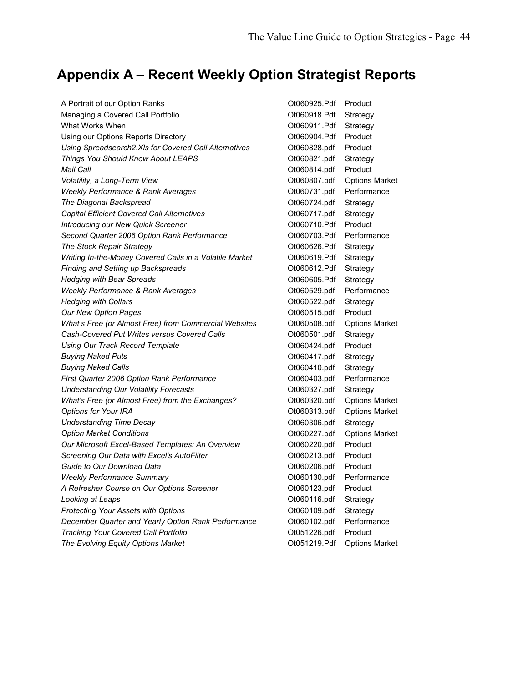# **Appendix A – Recent Weekly Option Strategist Reports**

| A Portrait of our Option Ranks                          | Ot060925.Pdf | Product               |
|---------------------------------------------------------|--------------|-----------------------|
| Managing a Covered Call Portfolio                       | Ot060918.Pdf | Strategy              |
| What Works When                                         | Ot060911.Pdf | Strategy              |
| Using our Options Reports Directory                     | Ot060904.Pdf | Product               |
| Using Spreadsearch2.XIs for Covered Call Alternatives   | Ot060828.pdf | Product               |
| Things You Should Know About LEAPS                      | Ot060821.pdf | Strategy              |
| <b>Mail Call</b>                                        | Ot060814.pdf | Product               |
| Volatility, a Long-Term View                            | Ot060807.pdf | <b>Options Market</b> |
| Weekly Performance & Rank Averages                      | Ot060731.pdf | Performance           |
| The Diagonal Backspread                                 | Ot060724.pdf | Strategy              |
| Capital Efficient Covered Call Alternatives             | Ot060717.pdf | Strategy              |
| <b>Introducing our New Quick Screener</b>               | Ot060710.Pdf | Product               |
| Second Quarter 2006 Option Rank Performance             | Ot060703.Pdf | Performance           |
| The Stock Repair Strategy                               | Ot060626.Pdf | Strategy              |
| Writing In-the-Money Covered Calls in a Volatile Market | Ot060619.Pdf | Strategy              |
| <b>Finding and Setting up Backspreads</b>               | Ot060612.Pdf | Strategy              |
| <b>Hedging with Bear Spreads</b>                        | Ot060605.Pdf | Strategy              |
| Weekly Performance & Rank Averages                      | Ot060529.pdf | Performance           |
| <b>Hedging with Collars</b>                             | Ot060522.pdf | Strategy              |
| Our New Option Pages                                    | Ot060515.pdf | Product               |
| What's Free (or Almost Free) from Commercial Websites   | Ot060508.pdf | <b>Options Market</b> |
| Cash-Covered Put Writes versus Covered Calls            | Ot060501.pdf | Strategy              |
| <b>Using Our Track Record Template</b>                  | Ot060424.pdf | Product               |
| <b>Buying Naked Puts</b>                                | Ot060417.pdf | Strategy              |
| <b>Buying Naked Calls</b>                               | Ot060410.pdf | Strategy              |
| First Quarter 2006 Option Rank Performance              | Ot060403.pdf | Performance           |
| <b>Understanding Our Volatility Forecasts</b>           | Ot060327.pdf | Strategy              |
| What's Free (or Almost Free) from the Exchanges?        | Ot060320.pdf | <b>Options Market</b> |
| Options for Your IRA                                    | Ot060313.pdf | <b>Options Market</b> |
| <b>Understanding Time Decay</b>                         | Ot060306.pdf | Strategy              |
| <b>Option Market Conditions</b>                         | Ot060227.pdf | <b>Options Market</b> |
| Our Microsoft Excel-Based Templates: An Overview        | Ot060220.pdf | Product               |
| Screening Our Data with Excel's AutoFilter              | Ot060213.pdf | Product               |
| Guide to Our Download Data                              | Ot060206.pdf | Product               |
| <b>Weekly Performance Summary</b>                       | Ot060130.pdf | Performance           |
| A Refresher Course on Our Options Screener              | Ot060123.pdf | Product               |
| Looking at Leaps                                        | Ot060116.pdf | Strategy              |
| Protecting Your Assets with Options                     | Ot060109.pdf | Strategy              |
| December Quarter and Yearly Option Rank Performance     | Ot060102.pdf | Performance           |
| Tracking Your Covered Call Portfolio                    | Ot051226.pdf | Product               |
| The Evolving Equity Options Market                      | Ot051219.Pdf | <b>Options Market</b> |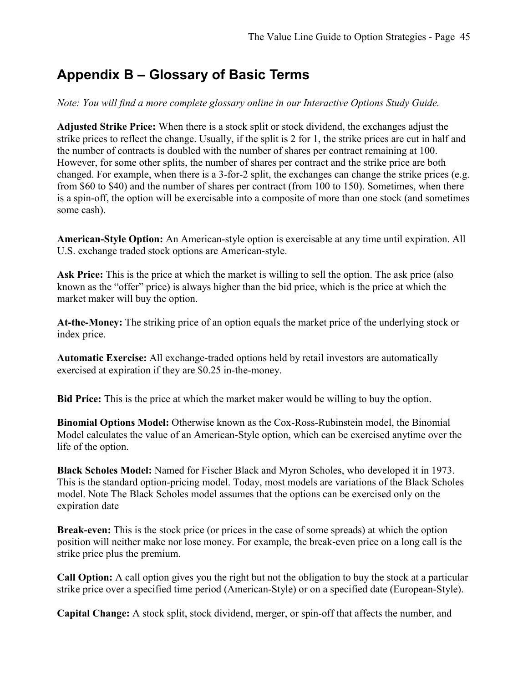# **Appendix B – Glossary of Basic Terms**

*Note: You will find a more complete glossary online in our Interactive Options Study Guide.* 

**Adjusted Strike Price:** When there is a stock split or stock dividend, the exchanges adjust the strike prices to reflect the change. Usually, if the split is 2 for 1, the strike prices are cut in half and the number of contracts is doubled with the number of shares per contract remaining at 100. However, for some other splits, the number of shares per contract and the strike price are both changed. For example, when there is a 3-for-2 split, the exchanges can change the strike prices (e.g. from \$60 to \$40) and the number of shares per contract (from 100 to 150). Sometimes, when there is a spin-off, the option will be exercisable into a composite of more than one stock (and sometimes some cash).

**American-Style Option:** An American-style option is exercisable at any time until expiration. All U.S. exchange traded stock options are American-style.

**Ask Price:** This is the price at which the market is willing to sell the option. The ask price (also known as the "offer" price) is always higher than the bid price, which is the price at which the market maker will buy the option.

**At-the-Money:** The striking price of an option equals the market price of the underlying stock or index price.

**Automatic Exercise:** All exchange-traded options held by retail investors are automatically exercised at expiration if they are \$0.25 in-the-money.

**Bid Price:** This is the price at which the market maker would be willing to buy the option.

**Binomial Options Model:** Otherwise known as the Cox-Ross-Rubinstein model, the Binomial Model calculates the value of an American-Style option, which can be exercised anytime over the life of the option.

**Black Scholes Model:** Named for Fischer Black and Myron Scholes, who developed it in 1973. This is the standard option-pricing model. Today, most models are variations of the Black Scholes model. Note The Black Scholes model assumes that the options can be exercised only on the expiration date

**Break-even:** This is the stock price (or prices in the case of some spreads) at which the option position will neither make nor lose money. For example, the break-even price on a long call is the strike price plus the premium.

**Call Option:** A call option gives you the right but not the obligation to buy the stock at a particular strike price over a specified time period (American-Style) or on a specified date (European-Style).

**Capital Change:** A stock split, stock dividend, merger, or spin-off that affects the number, and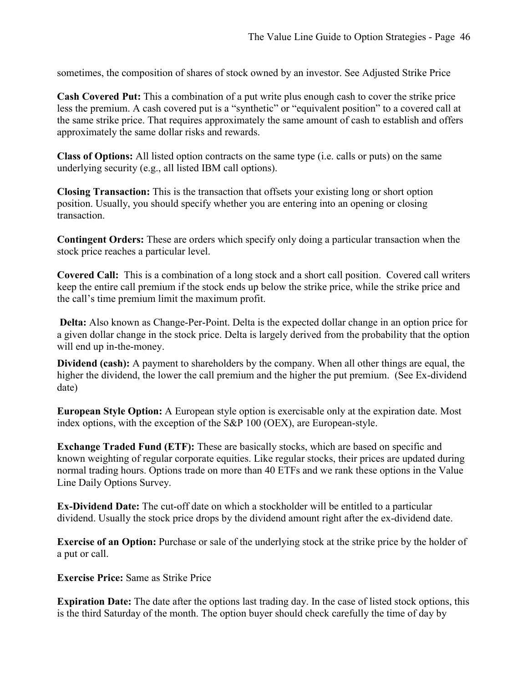sometimes, the composition of shares of stock owned by an investor. See Adjusted Strike Price

**Cash Covered Put:** This a combination of a put write plus enough cash to cover the strike price less the premium. A cash covered put is a "synthetic" or "equivalent position" to a covered call at the same strike price. That requires approximately the same amount of cash to establish and offers approximately the same dollar risks and rewards.

**Class of Options:** All listed option contracts on the same type (i.e. calls or puts) on the same underlying security (e.g., all listed IBM call options).

**Closing Transaction:** This is the transaction that offsets your existing long or short option position. Usually, you should specify whether you are entering into an opening or closing transaction.

**Contingent Orders:** These are orders which specify only doing a particular transaction when the stock price reaches a particular level.

**Covered Call:** This is a combination of a long stock and a short call position. Covered call writers keep the entire call premium if the stock ends up below the strike price, while the strike price and the call's time premium limit the maximum profit.

 **Delta:** Also known as Change-Per-Point. Delta is the expected dollar change in an option price for a given dollar change in the stock price. Delta is largely derived from the probability that the option will end up in-the-money.

**Dividend (cash):** A payment to shareholders by the company. When all other things are equal, the higher the dividend, the lower the call premium and the higher the put premium. (See Ex-dividend date)

**European Style Option:** A European style option is exercisable only at the expiration date. Most index options, with the exception of the S&P 100 (OEX), are European-style.

**Exchange Traded Fund (ETF):** These are basically stocks, which are based on specific and known weighting of regular corporate equities. Like regular stocks, their prices are updated during normal trading hours. Options trade on more than 40 ETFs and we rank these options in the Value Line Daily Options Survey.

**Ex-Dividend Date:** The cut-off date on which a stockholder will be entitled to a particular dividend. Usually the stock price drops by the dividend amount right after the ex-dividend date.

**Exercise of an Option:** Purchase or sale of the underlying stock at the strike price by the holder of a put or call.

**Exercise Price:** Same as Strike Price

**Expiration Date:** The date after the options last trading day. In the case of listed stock options, this is the third Saturday of the month. The option buyer should check carefully the time of day by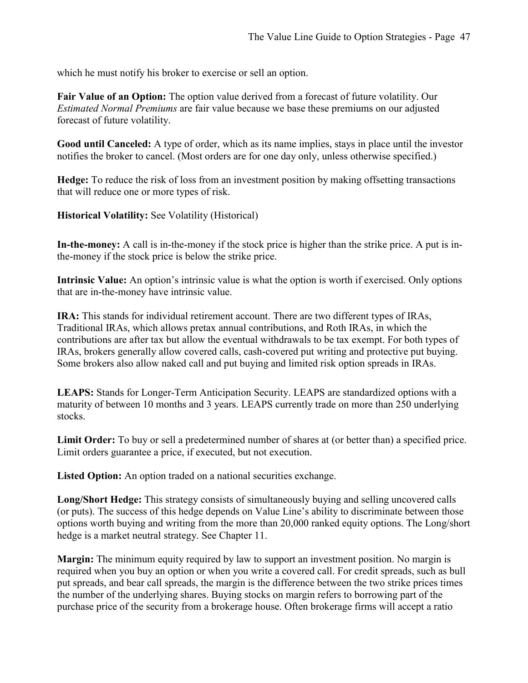which he must notify his broker to exercise or sell an option.

**Fair Value of an Option:** The option value derived from a forecast of future volatility. Our *Estimated Normal Premiums* are fair value because we base these premiums on our adjusted forecast of future volatility.

**Good until Canceled:** A type of order, which as its name implies, stays in place until the investor notifies the broker to cancel. (Most orders are for one day only, unless otherwise specified.)

**Hedge:** To reduce the risk of loss from an investment position by making offsetting transactions that will reduce one or more types of risk.

**Historical Volatility:** See Volatility (Historical)

**In-the-money:** A call is in-the-money if the stock price is higher than the strike price. A put is inthe-money if the stock price is below the strike price.

**Intrinsic Value:** An option's intrinsic value is what the option is worth if exercised. Only options that are in-the-money have intrinsic value.

**IRA:** This stands for individual retirement account. There are two different types of IRAs, Traditional IRAs, which allows pretax annual contributions, and Roth IRAs, in which the contributions are after tax but allow the eventual withdrawals to be tax exempt. For both types of IRAs, brokers generally allow covered calls, cash-covered put writing and protective put buying. Some brokers also allow naked call and put buying and limited risk option spreads in IRAs.

**LEAPS:** Stands for Longer-Term Anticipation Security. LEAPS are standardized options with a maturity of between 10 months and 3 years. LEAPS currently trade on more than 250 underlying stocks.

**Limit Order:** To buy or sell a predetermined number of shares at (or better than) a specified price. Limit orders guarantee a price, if executed, but not execution.

**Listed Option:** An option traded on a national securities exchange.

**Long/Short Hedge:** This strategy consists of simultaneously buying and selling uncovered calls (or puts). The success of this hedge depends on Value Line's ability to discriminate between those options worth buying and writing from the more than 20,000 ranked equity options. The Long/short hedge is a market neutral strategy. See Chapter 11.

**Margin:** The minimum equity required by law to support an investment position. No margin is required when you buy an option or when you write a covered call. For credit spreads, such as bull put spreads, and bear call spreads, the margin is the difference between the two strike prices times the number of the underlying shares. Buying stocks on margin refers to borrowing part of the purchase price of the security from a brokerage house. Often brokerage firms will accept a ratio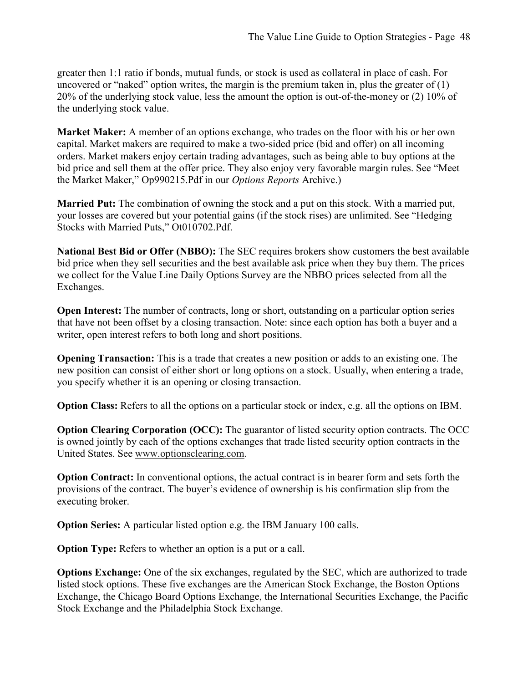greater then 1:1 ratio if bonds, mutual funds, or stock is used as collateral in place of cash. For uncovered or "naked" option writes, the margin is the premium taken in, plus the greater of  $(1)$ 20% of the underlying stock value, less the amount the option is out-of-the-money or (2) 10% of the underlying stock value.

**Market Maker:** A member of an options exchange, who trades on the floor with his or her own capital. Market makers are required to make a two-sided price (bid and offer) on all incoming orders. Market makers enjoy certain trading advantages, such as being able to buy options at the bid price and sell them at the offer price. They also enjoy very favorable margin rules. See "Meet the Market Maker," Op990215.Pdf in our *Options Reports* Archive.)

**Married Put:** The combination of owning the stock and a put on this stock. With a married put, your losses are covered but your potential gains (if the stock rises) are unlimited. See "Hedging Stocks with Married Puts," Ot010702.Pdf.

**National Best Bid or Offer (NBBO):** The SEC requires brokers show customers the best available bid price when they sell securities and the best available ask price when they buy them. The prices we collect for the Value Line Daily Options Survey are the NBBO prices selected from all the Exchanges.

**Open Interest:** The number of contracts, long or short, outstanding on a particular option series that have not been offset by a closing transaction. Note: since each option has both a buyer and a writer, open interest refers to both long and short positions.

**Opening Transaction:** This is a trade that creates a new position or adds to an existing one. The new position can consist of either short or long options on a stock. Usually, when entering a trade, you specify whether it is an opening or closing transaction.

**Option Class:** Refers to all the options on a particular stock or index, e.g. all the options on IBM.

**Option Clearing Corporation (OCC):** The guarantor of listed security option contracts. The OCC is owned jointly by each of the options exchanges that trade listed security option contracts in the United States. See www.optionsclearing.com.

**Option Contract:** In conventional options, the actual contract is in bearer form and sets forth the provisions of the contract. The buyer's evidence of ownership is his confirmation slip from the executing broker.

**Option Series:** A particular listed option e.g. the IBM January 100 calls.

**Option Type:** Refers to whether an option is a put or a call.

**Options Exchange:** One of the six exchanges, regulated by the SEC, which are authorized to trade listed stock options. These five exchanges are the American Stock Exchange, the Boston Options Exchange, the Chicago Board Options Exchange, the International Securities Exchange, the Pacific Stock Exchange and the Philadelphia Stock Exchange.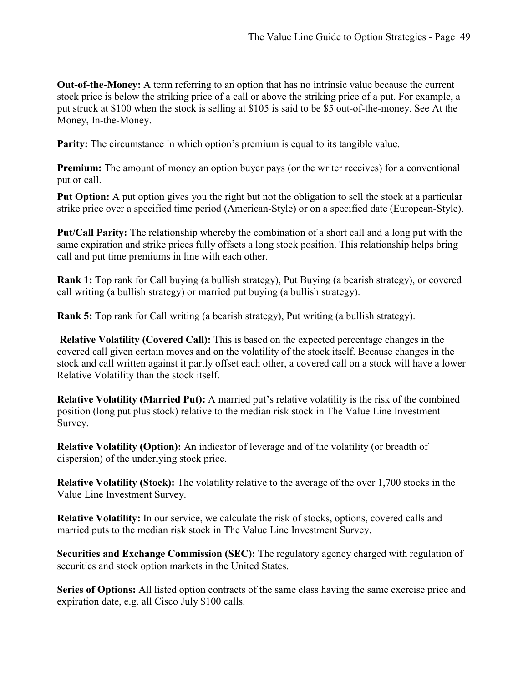**Out-of-the-Money:** A term referring to an option that has no intrinsic value because the current stock price is below the striking price of a call or above the striking price of a put. For example, a put struck at \$100 when the stock is selling at \$105 is said to be \$5 out-of-the-money. See At the Money, In-the-Money.

**Parity:** The circumstance in which option's premium is equal to its tangible value.

**Premium:** The amount of money an option buyer pays (or the writer receives) for a conventional put or call.

**Put Option:** A put option gives you the right but not the obligation to sell the stock at a particular strike price over a specified time period (American-Style) or on a specified date (European-Style).

**Put/Call Parity:** The relationship whereby the combination of a short call and a long put with the same expiration and strike prices fully offsets a long stock position. This relationship helps bring call and put time premiums in line with each other.

**Rank 1:** Top rank for Call buying (a bullish strategy), Put Buying (a bearish strategy), or covered call writing (a bullish strategy) or married put buying (a bullish strategy).

**Rank 5:** Top rank for Call writing (a bearish strategy), Put writing (a bullish strategy).

 **Relative Volatility (Covered Call):** This is based on the expected percentage changes in the covered call given certain moves and on the volatility of the stock itself. Because changes in the stock and call written against it partly offset each other, a covered call on a stock will have a lower Relative Volatility than the stock itself.

**Relative Volatility (Married Put):** A married put's relative volatility is the risk of the combined position (long put plus stock) relative to the median risk stock in The Value Line Investment Survey.

**Relative Volatility (Option):** An indicator of leverage and of the volatility (or breadth of dispersion) of the underlying stock price.

**Relative Volatility (Stock):** The volatility relative to the average of the over 1,700 stocks in the Value Line Investment Survey.

**Relative Volatility:** In our service, we calculate the risk of stocks, options, covered calls and married puts to the median risk stock in The Value Line Investment Survey.

**Securities and Exchange Commission (SEC):** The regulatory agency charged with regulation of securities and stock option markets in the United States.

**Series of Options:** All listed option contracts of the same class having the same exercise price and expiration date, e.g. all Cisco July \$100 calls.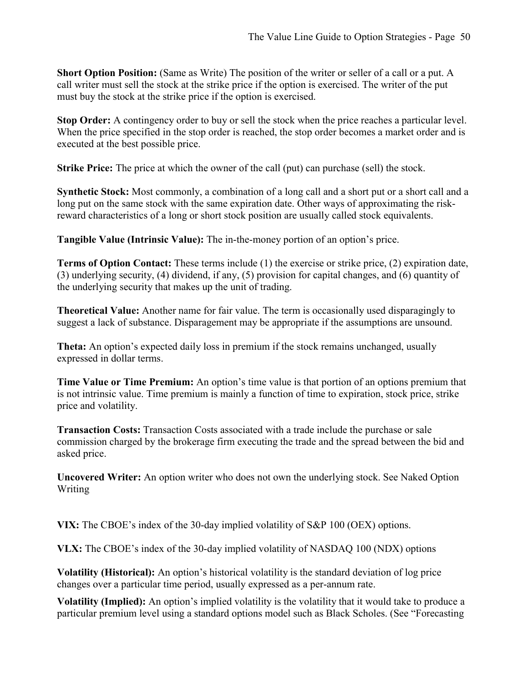**Short Option Position:** (Same as Write) The position of the writer or seller of a call or a put. A call writer must sell the stock at the strike price if the option is exercised. The writer of the put must buy the stock at the strike price if the option is exercised.

**Stop Order:** A contingency order to buy or sell the stock when the price reaches a particular level. When the price specified in the stop order is reached, the stop order becomes a market order and is executed at the best possible price.

**Strike Price:** The price at which the owner of the call (put) can purchase (sell) the stock.

**Synthetic Stock:** Most commonly, a combination of a long call and a short put or a short call and a long put on the same stock with the same expiration date. Other ways of approximating the riskreward characteristics of a long or short stock position are usually called stock equivalents.

**Tangible Value (Intrinsic Value):** The in-the-money portion of an option's price.

**Terms of Option Contact:** These terms include (1) the exercise or strike price, (2) expiration date, (3) underlying security, (4) dividend, if any, (5) provision for capital changes, and (6) quantity of the underlying security that makes up the unit of trading.

**Theoretical Value:** Another name for fair value. The term is occasionally used disparagingly to suggest a lack of substance. Disparagement may be appropriate if the assumptions are unsound.

**Theta:** An option's expected daily loss in premium if the stock remains unchanged, usually expressed in dollar terms.

**Time Value or Time Premium:** An option's time value is that portion of an options premium that is not intrinsic value. Time premium is mainly a function of time to expiration, stock price, strike price and volatility.

**Transaction Costs:** Transaction Costs associated with a trade include the purchase or sale commission charged by the brokerage firm executing the trade and the spread between the bid and asked price.

**Uncovered Writer:** An option writer who does not own the underlying stock. See Naked Option Writing

**VIX:** The CBOE's index of the 30-day implied volatility of S&P 100 (OEX) options.

**VLX:** The CBOE's index of the 30-day implied volatility of NASDAQ 100 (NDX) options

**Volatility (Historical):** An option's historical volatility is the standard deviation of log price changes over a particular time period, usually expressed as a per-annum rate.

**Volatility (Implied):** An option's implied volatility is the volatility that it would take to produce a particular premium level using a standard options model such as Black Scholes. (See "Forecasting